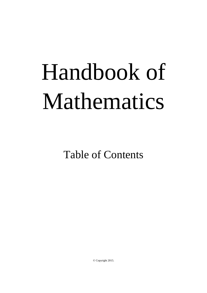## Handbook of Mathematics

Table of Contents

© Copyright 2015.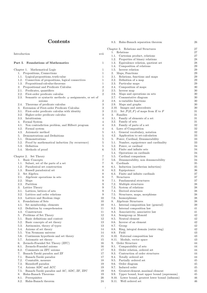## Contents

| Introduction                                                           | xvii             | 1. Relations                                      | 27 |
|------------------------------------------------------------------------|------------------|---------------------------------------------------|----|
|                                                                        |                  | Cartesian product, relations<br>1.1.              | 27 |
|                                                                        |                  | 1.2. Properties of binary relations               | 28 |
| Part I. Foundations of Mathematics                                     | $\mathbf{1}$     | Equivalence relation, quotient set<br>1.3.        | 28 |
|                                                                        |                  | Composition of relations<br>1.4.                  | 29 |
| Chapter 1. Mathematical Logic                                          | 1                | 1.5. Inverse relation                             | 29 |
| 1. Propositions, Connections                                           | $\mathbf{1}$     | Maps, Functions<br>2.                             | 29 |
| 1.1. Logical propositions, truth value                                 | 1                | Relations, functions and maps<br>2.1.             | 29 |
| Connection of propositions, logical connectives<br>1.2.                | $\mathbf{1}$     | Definition of a map<br>2.2.                       | 29 |
| Propositional calculus theorems<br>1.3.                                | 1                | Particular maps<br>2.3.                           | 29 |
| 2. Propositional and Predicate Calculus                                | $\overline{2}$   | Composition of maps<br>2.4.                       | 30 |
| Predicates, quantifiers<br>2.1.                                        | $\,2$            | 2.5.<br>Inverse map                               | 30 |
| 2.2.<br>First-order predicate calculus                                 | $\overline{2}$   | Maps and operations on sets<br>2.6.               | 30 |
| 2.3.<br>Semantic or syntactic methods: $\omega$ assignments, or set of |                  | Commutative diagram<br>2.7.                       | 30 |
| axioms                                                                 | $\sqrt{2}$       | 2.8.<br>$n$ -variables functions                  | 30 |
| Theorems of predicate calculus<br>2.4.                                 | 3                | 2.9. Maps and graphs                              | 30 |
| 3. Extension of First-order Predicate Calculus                         | 3                | 2.10. Images and antecedents                      | 30 |
| First-order predicate calculus with identity<br>3.1.                   | 3                | 2.11. Set $\mathcal{F}(E,F)$ of maps from E to F  | 31 |
| Higher-order predicate calculus<br>3.2.                                | 3                | 3. Families                                       | 31 |
| 3.3. Intuitionism                                                      | 4                | Family of elements of a set<br>3.1.               | 31 |
| 4. Formal System                                                       | 4                | 3.2. Family of sets                               | 31 |
| Non contradiction problem, and Hilbert program<br>4.1.                 | $\overline{4}$   | 3.3. Family of parts of a set                     | 32 |
| 4.2.<br>Formal system                                                  | 4                | 4. Laws of Composition                            | 32 |
| Axiomatic method<br>4.3.                                               | 5                | 4.1. General vocabulary, notation                 | 32 |
| 5. Demonstrations and Definitions                                      | 5                | 4.2. Application to set-calculation               | 33 |
| Demonstrations<br>5.1.                                                 | $\mathbf 5$      | 5. Power, Cardinal, Denumerability                | 33 |
| 5.2.<br>Proof by mathematical induction (by recurrence)                | $\mathbf 5$      | 5.1. Number, equipotence and cardinality          | 33 |
| 5.3.<br>Definition                                                     | $\mathbf 5$      | 5.2. Power, or cardinal                           | 34 |
| Methods of proof<br>5.4.                                               | 6                | Finite and infinite sets<br>5.3.                  | 34 |
|                                                                        |                  | Operations on cardinals<br>5.4.                   | 34 |
| Chapter 2. Set Theory                                                  | 7                | 5.5. Cardinal comparison                          | 34 |
| 1. Basic Concepts                                                      | 7                | 5.6. Denumerability, non denumerability           | 34 |
| Subset, set of the parts of a set<br>1.1.                              | $\overline{7}$   | 6. Cardinals                                      | 35 |
| Paradoxical set construction<br>1.2.                                   | 8                | 6.1. Induction (noetherian induction)             | 35 |
| Russell paradoxical set<br>1.3.                                        | 8                | Equipotence<br>6.2.                               | 36 |
| 2. Set Algebra                                                         | 8                | Finite and infinite cardinals<br>6.3.             | 37 |
| 2.1. Algebraic operations in sets                                      | 8                | 7.<br><b>Structures</b>                           | 37 |
| Maps<br>2.2.                                                           | $\boldsymbol{9}$ | 7.1.<br>Fundamental structures                    | 37 |
| Partition<br>2.3.                                                      | 9                | 7.2.<br>Multiple structures                       | 38 |
| 3. Lattice Theory                                                      | 9                | System of relations<br>7.3.                       | 38 |
| 3.1. Lattices, lattices of sets                                        | 9                | 7.4. Derived structures                           | 38 |
| 3.2. Lattices and order relations                                      | 9                | 7.5.<br>Structures, maps, morphisms               | 38 |
| 3.3. Lattices and Boolean rings                                        | 10               | 7.6. Isomorphisms                                 | 38 |
| 4. Foundations of Sets                                                 | 10               | 8. Algebraic Structures                           | 38 |
| 4.1. Set membership, elements                                          | 10               | 8.1. Internal composition law (general)           | 39 |
| Definition by comprehension<br>4.2.                                    | 11               | Internal composition law<br>8.2.                  | 41 |
| 4.3.<br>Constructors                                                   | 11               | 8.3.<br>Associativity, associative law            | 41 |
| 5. Problems of Set Theory                                              | 12               | Semigroup or Monoid<br>8.4.                       | 42 |
| Basic definitions and context<br>5.1.                                  | 12               | Neutral element<br>8.5.                           | 42 |
| 5.2.<br>Basic concepts of set theory                                   | 13               | 8.6.<br>Inverse of an element                     | 42 |
| 5.3.<br>Antinomies, theory of types                                    | 13               | 8.7.<br>Group                                     | 42 |
| Axioms of set theory                                                   |                  |                                                   |    |
| 5.4.<br>Von Neumann universe                                           | 14               | 8.8.<br>Ring, integral domain (entire ring)       | 42 |
| 5.5.                                                                   | 14               | 8.9.<br>Field                                     | 43 |
| 5.6.<br>Continuum hypothesis and set theory                            | 15               | 8.10.<br>External composition law                 | 43 |
| Axiomatic set theory<br>5.7.                                           | 15               | Module, vector space<br>8.11.                     | 43 |
| 6.<br>Zermelo-Fraenkel Set Theory (ZFC)                                | 16               | Order Structure<br>9.                             | 44 |
| 6.1.<br>Zermelo-Fraenkel axioms                                        | 16               | 9.1.<br>Comparability of sets                     | 44 |
| 6.2.<br>Comments on ZFC axioms                                         | 17               | 9.2.<br>Order relation, ordered set               | 44 |
| Banach-Tarski paradox and ZF<br>7.                                     | 17               | 9.3.<br>Contruction of order structures           | 44 |
| 7.1.<br>Banach-Tarski paradox                                          | 17               | 9.4.<br>Totally ordered set                       | 44 |
| 7.2.<br>Countable, measure                                             | 18               | Partially ordered set<br>9.5.                     | 45 |
| 7.3.<br>Hausdorff paradox                                              | 19               | 9.6.<br>Order diagram                             | 45 |
| Axioms ADC and ACC<br>7.4.                                             | 19               | 9.7.<br>Induced order                             | 45 |
| Banach-Tarski paradox and AC, ADC, ZF, ZFC<br>7.5.                     | 19               | 9.8.<br>Greatest element, maximal element         | 45 |
| 8.<br>Hahn-Banach Theorems                                             | 19               | Upper bound, least upper bound (supremum)<br>9.9. | 45 |
| Prerequisites<br>8.1.                                                  | 20               | 9.10. Lower bound, greatest lower bound (infimum) | 46 |
| 8.2.<br>Hahn-Banach theorem                                            | 24               | Well ordered set<br>9.11.                         | 46 |

| 8.3.<br>Hahn-Banach separation theorem                   | 26       |
|----------------------------------------------------------|----------|
| Chapter 3. Relations and Structures                      | 27       |
| 1.<br>Relations                                          | 27       |
| 1.1. Cartesian product, relations                        | 27       |
| 1.2. Properties of binary relations                      | 28       |
| 1.3. Equivalence relation, quotient set                  | 28       |
| 1.4. Composition of relations                            | 29       |
| 1.5. Inverse relation                                    | 29       |
| 2.<br>Maps, Functions                                    | 29       |
| 2.1. Relations, functions and maps                       | 29       |
| 2.2. Definition of a map                                 | 29       |
| 2.3. Particular maps                                     | 29       |
| 2.4. Composition of maps                                 | 30       |
| 2.5. Inverse map                                         | 30       |
| 2.6. Maps and operations on sets                         | 30       |
| 2.7. Commutative diagram                                 | 30       |
| 2.8. $n$ -variables functions                            | 30       |
| 2.9. Maps and graphs                                     | 30       |
| 2.10. Images and antecedents                             | 30       |
| 2.11. Set $\mathcal{F}(E, F)$ of maps from E to F        | 31       |
| 3.<br>Families                                           | 31       |
| 3.1. Family of elements of a set                         | 31       |
| 3.2. Family of sets                                      | 31       |
| 3.3. Family of parts of a set                            | 32       |
| Laws of Composition<br>4.                                | 32       |
|                                                          | 32       |
| 4.1. General vocabulary, notation                        | 33       |
| 4.2. Application to set-calculation                      |          |
| 5. Power, Cardinal, Denumerability                       | 33       |
| 5.1. Number, equipotence and cardinality                 | 33       |
| 5.2. Power, or cardinal<br>5.3. Finite and infinite sets | 34       |
|                                                          | 34       |
| 5.4. Operations on cardinals                             | 34       |
| 5.5. Cardinal comparison                                 | 34       |
| 5.6. Denumerability, non denumerability                  | 34       |
| 6. Cardinals                                             | 35       |
| 6.1. Induction (noetherian induction)                    | 35       |
| 6.2. Equipotence                                         | 36       |
| 6.3. Finite and infinite cardinals                       | 37       |
| 7. Structures                                            | 37       |
| 7.1. Fundamental structures                              | 37       |
| 7.2. Multiple structures                                 | 38       |
| 7.3. System of relations                                 | 38       |
| 7.4. Derived structures                                  | 38       |
| Structures, maps, morphisms<br>7.5.                      | 38       |
| 7.6.<br>Isomorphisms                                     | 38       |
| 8.<br>Algebraic Structures                               | 38       |
| Internal composition law (general)<br>8.1.               | 39       |
| 8.2.<br>Internal composition law                         | 41       |
| 8.3.<br>Associativity, associative law                   | 41       |
| 8.4.<br>Semigroup or Monoid                              | 42       |
| 8.5.<br>Neutral element                                  | 42       |
| Inverse of an element<br>8.6.                            | 42       |
| 8.7.<br>Group                                            | 42       |
| Ring, integral domain (entire ring)<br>8.8.              | 42       |
| 8.9.<br>Field                                            | 43       |
| 8.10.<br>External composition law                        | 43       |
| 8.11.<br>Module, vector space                            | 43       |
| 9.<br>Order Structure                                    | 44       |
| 9.1.<br>Comparability of sets                            | 44       |
| 9.2.<br>Order relation, ordered set                      | 44       |
| 9.3.<br>Contruction of order structures                  | 44       |
| 9.4.<br>Totally ordered set                              | 44       |
| 9.5.<br>Partially ordered set                            | 45       |
| 9.6.                                                     |          |
| Order diagram<br>9.7.<br>Induced order                   | 45<br>45 |
|                                                          |          |
| 9.8.<br>Greatest element, maximal element                | 45       |
| 9.9.<br>Upper bound, least upper bound (supremum)        | 45       |
| Lower bound, greatest lower bound (infimum)<br>9.10.     | 46       |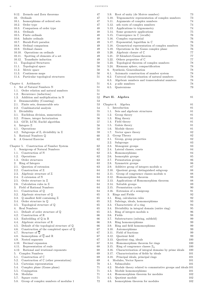|                                                                                      | 47       |
|--------------------------------------------------------------------------------------|----------|
| 10.<br>Ordinals                                                                      | 47       |
| 10.1. Isomorphisms of ordered sets                                                   | 47       |
| 10.2. Order type                                                                     | 47       |
| 10.3. Comparison of order type<br>Ordinals<br>10.4.                                  | 48<br>48 |
| 10.5. Finite ordinals                                                                | 48       |
| 10.6. Infinite ordinals                                                              | 48       |
| 10.7. Burali-Forti paradox                                                           | 49       |
| 10.8. Ordinal comparison                                                             | 49       |
| 10.9. Ordinal classes                                                                | 49       |
| 10.10. Operations on ordinals                                                        | 49       |
| 10.11. Spotting of elements of a set                                                 | 49       |
| 10.12. Transfinite induction                                                         | 49       |
| 11.<br>Topological Structures                                                        | 50       |
| 11.1. Topological space                                                              | 50       |
| 11.2.<br>Metric space                                                                | 50       |
| 11.3. Continuous maps                                                                | 50       |
| 11.4. Particular topological structures                                              | 51       |
|                                                                                      |          |
| Chapter 4.<br>Arithmetic<br>Set of Natural Numbers N<br>1.                           | 51       |
| Order relation and natural numbers<br>1.1.                                           | 51<br>51 |
| 1.2. Recurrence (induction)                                                          | 51       |
| 1.3. Addition and multiplication in N                                                | 52       |
| 2. Denumerability (Counting)                                                         | 53       |
| 2.1. Finite sets, denumerable sets                                                   | 53       |
| 2.2. Combinatorial analysis                                                          | 54       |
| 3. Divisibility                                                                      | 55       |
| 3.1. Euclidean division, numeration                                                  | 55       |
| 3.2. Primes, integer factorization                                                   | 56       |
| 3.3. GCD, LCM, Euclid algorithm                                                      | 57       |
| 4. Integers $\mathbb Z$                                                              | 58       |
| 4.1.<br>Operations                                                                   | 58       |
| 4.2.<br>Subgroups of $\mathbb{Z}$ , divisibility in $\mathbb{Z}$                     | 59       |
| 5. Rational Numbers $\mathbb O$                                                      | 60       |
| A General Exercise<br>6.                                                             | 62       |
|                                                                                      |          |
| Chapter 5. Construction of Number System                                             | 62       |
| Semigroup of Natural Numbers<br>1.                                                   | 62       |
| 1.1. Construction of N                                                               | 62       |
| 1.2.<br>Operations                                                                   | 62       |
| 1.3. Order structures<br>2.                                                          | 63<br>63 |
| Ring of Integers<br>2.1.<br>Question of extension                                    | 63       |
| 2.2.<br>Construction of $\mathbb Z$                                                  | 64       |
| 2.3.<br>Algebraic structure of $\mathbb Z$                                           | 64       |
| 2.4.<br>$\mathbb Z$ extension of $\mathbb N$                                         | 64       |
|                                                                                      |          |
| 2.5.<br>Order structure in $\mathbb Z$                                               | 64       |
| 2.6. Calculation rules in $\mathbb Z$                                                | 64       |
| 3.<br>Field of Rational Numbers                                                      | 64       |
| 3.1.<br>Construction of $\mathbb Q$                                                  | 64       |
| 3.2. Algebraic structure of $\mathbb{Q}$                                             | 65       |
| 3.3. $\mathbb Q$ smallest field containing $\mathbb Z$                               | 65       |
| 3.4. Order structure in $\mathbb{Q}$                                                 | 65       |
| 3.5. Topological structure of $\mathbb Q$                                            | 65       |
| 4.<br>Real Numbers                                                                   | 65       |
| 4.1.<br>Default of order structure of $\mathbb Q$                                    | 65       |
| 4.2. Construction of R                                                               | 66       |
| 4.3.<br>Embedding of $\mathbb Q$ in $\mathbb R$                                      | 66       |
| 4.4.<br>Algebraic structure of $\mathbb R$                                           | 66       |
| 4.5.<br>Default of the topological structure of $\mathbb Q$                          | 66       |
| 4.6. Construction of the completed space of $\mathbb Q$                              | 67       |
| Structure of $\mathbb{O}$<br>4.7.                                                    | 67       |
| Isomorphism of $\overline{Q}$ and $\mathbb R$<br>4.8.                                | 67       |
| 4.9. Nested segments                                                                 | 67       |
| 4.10. Decimal expansion                                                              | 67       |
| 4.11. Representation of reals                                                        | 68       |
| 4.12.<br>Rational and irrational exponents                                           | 68       |
| Complex Numbers<br>5.<br>Construction of $\mathbb C$<br>5.1.                         | 69<br>69 |
| 5.2.                                                                                 | 69       |
| Construction of $\mathbb C$ (other presentation)<br>5.3.<br>Cartesian representation | 70       |
| Complex plane (Gauss plane)<br>5.4.                                                  | 71       |
| 5.5.<br>Conjugation                                                                  | 71       |
| 5.6.<br>Modulus                                                                      | 71       |
| 5.7.<br>Square roots                                                                 | 71       |

| 5.9.             | Root of unity (de Moivre number)                           | 73       |
|------------------|------------------------------------------------------------|----------|
| 5.10.            | Trigonometric representation of complex numbers            | 73       |
| 5.11.            | Arguments of complex numbers                               | 74       |
| 5.12.            | nth roots of complex numbers                               | 74       |
| 5.13.            | Applications to trigonometry                               | 74       |
| 5.14.            | Some geometric applications                                | 75       |
| 5.15.            | Convergence in $\mathbb C$ (recalls)                       | 76       |
| 5.16.            | Complex exponential                                        | 76       |
| 5.17.            | Exponential, logarithm in $\mathbb C$                      | 76       |
| 5.18.            | Geometrical representation of complex numbers              | 76       |
| 5.19.            | Operations in the Gauss complex plane                      | 76       |
| 5.20.            | Algebraic closure of $\mathbb C$                           | 77       |
| 5.21.            | D'Alembert-Gauss theorem                                   | 77       |
|                  | 5.22. Others properties of $\mathbb C$                     | 77       |
| 5.23.            | Topological theorem of complex numbers                     | 78       |
| 5.24.            | Riemann sphere, compactification                           | 78       |
| 6.               | Synthesis, Generalization                                  | 78       |
| 6.1.             | Axiomatic construction of number system                    | 78       |
| 6.2.             | Univocal characterization of natural numbers               | 78       |
| 6.3.             | Algebraic numbers and transcendental numbers               | 78       |
| 6.4.             | $p$ -adic numbers                                          | 78       |
| 6.5.             | Quaternions                                                | 79       |
|                  | Part II. Algebra                                           | 81       |
|                  |                                                            |          |
| Chapter 6.<br>1. | Algebra<br>Introduction                                    | 81<br>81 |
| 1.1.             | Sets and algebraic structures                              | 81       |
| 1.2.             | Group theory                                               | 81       |
|                  | 1.3. Ring theory                                           | 81       |
|                  | 1.4. Field theory                                          | 81       |
|                  | 1.5. Galois theory                                         | 81       |
|                  | 1.6. Module theory                                         | 81       |
| 1.7.             | Vector space theory                                        | 82       |
| 2.               | Group Theory                                               | 82       |
| 2.1.             | Group, group properties                                    | 82       |
| 2.2.             | Subgroups                                                  | 83       |
| 2.3.             | Monogenic groups                                           | 83       |
| 2.4.             | Lateral classes, cosets                                    | 84       |
| 2.5.             | Homomorphisms                                              | 84       |
| 2.6.             | Isomorphic groups                                          | 85       |
| 2.7.             | Permutation groups                                         | 86       |
| 2.8.             | Symmetric groups                                           | 86       |
| 2.9.             | Additive group of integers modulo n                        | 87       |
| 2.10.            | Quotient group, distinguished subgroup                     | 88       |
| 2.11.            | Group of congruence classes modulo $n$                     | 88       |
| 2.12.            | Homomorphism theorem                                       | 88       |
| 2.13.            | Applications of Homomorphism theorem                       | 88       |
| 2.14.            | Solvable groups                                            | 89       |
| 2.15.<br>2.16.   | Permutation cycles                                         | 90<br>91 |
| 3.               | Extension of a semigroup<br>Rings and Fields               | 92       |
| 3.1.             | Ring, calcularion rules                                    | 92       |
| 3.2.             | Subrings, ideals, homomorphisms                            | 93       |
| 3.3.             | Characteristic of a ring                                   | 94       |
| 3.4.             | Divisibility in integral domain (entire ring)              | 95       |
| 3.5.             | Ring of integers modulo n                                  | 96       |
| 3.6.             | Fields                                                     | 98       |
| 3.7.             | Substructures (subring, subfield)                          | 99       |
| 3.8.             | Ring homomorphisms                                         | 99       |
| 3.9.             | Ring and field homomorphisms                               | 99       |
| 3.10.            | Automorphisms                                              | 99       |
| 3.11.            | Field of fractions                                         | 99       |
| 3.12.            | Quotient field                                             | 99       |
| 3.13.            | Quotient ring, ideals                                      | 100      |
| 3.14.            | Homomorphism theorem for rings                             | 100      |
| 3.15.            | Ring of congruence classes $\mathbb{Z}_n$                  | 100      |
| 3.16.            | Characterization of integral domains by prime ideals       | 100      |
| 3.17.            | Characterization of fields by ideals                       | 101      |
| 3.18.            | Principal ideals, principal rings                          | 101      |
| 4.               | Modules, Vector Spaces                                     | 101      |
| 4.1.             | Submodules                                                 | 101      |
| 4.2.             | Module theory related to commutative groups and ideals 101 |          |
| 4.3.             | Module homomorphisms                                       | 101      |
| 4.4.             | Homomorphism theorem for modules                           | 102      |
| 4.5.             | Quotient module                                            | 102      |
| 4.6.             | Isomorphism theorem for modules                            | $102\,$  |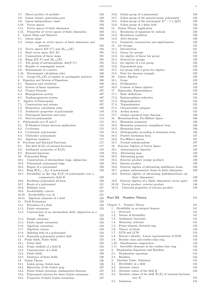| 4.7.<br>Direct product of modules                                                                             | 102        |
|---------------------------------------------------------------------------------------------------------------|------------|
| 4.8.<br>Linear closure, generating part                                                                       | 102        |
|                                                                                                               |            |
| 4.9.<br>Linear independence, basis                                                                            | 102        |
| 4.10.<br>Vector spaces                                                                                        | 103        |
| 4.11.<br>Vector spaces of finite dimension                                                                    | 103        |
| 4.12. Properties of vector spaces of finite dimension                                                         | 103        |
| 5.<br>Linear Maps and Matrices                                                                                | 103        |
| 5.1.<br>Linear maps                                                                                           | 103        |
| 5.2.<br>Linear maps in vector spaces of finite dimension and                                                  |            |
|                                                                                                               |            |
| matrices                                                                                                      | 104        |
| Vector spaces $\mathfrak{L}(V, V')$ and $M_{n,m}(K)$<br>5.3.                                                  | 104        |
| Dual vector space $\mathfrak{L}(V,K)$<br>5.4.                                                                 | 105        |
| 5.5.<br>Composition of linear maps                                                                            | 105        |
| 5.6.<br>Rings $\mathfrak{L}(V, V)$ and $M_{n,n}(K)$                                                           | 105        |
| 5.7.<br>The group of automorphisms $Aut(V, V)$                                                                | 105        |
|                                                                                                               |            |
| 5.8.<br>Regular or nonsingular matrix                                                                         | 105        |
| 5.9.<br>Determinant of a matrix                                                                               | 105        |
| 5.10. Determinant calculation rules                                                                           | 106        |
| 5.11. Group $GL_n(K)$ of regular or nonsingular matrices                                                      | 106        |
| 6.<br>Equation and System of Equations                                                                        | 106        |
| 6.1.<br>Equation and resolution                                                                               | 106        |
| 6.2.<br>System of linear equations                                                                            | 107        |
| 6.3.                                                                                                          |            |
| Cramer Formula                                                                                                | 107        |
| 6.4.<br>Homogeneous system                                                                                    | 107        |
| 6.5.<br>Nonhomogeneous system                                                                                 | 107        |
| Algebra of Polynomials<br>7.                                                                                  | 107        |
| 7.1. Construction and axioms                                                                                  | 107        |
| 7.2.<br>Elementary calculation rules                                                                          | 108        |
| 7.3. Arithmetic properties of polynomials                                                                     | 110        |
|                                                                                                               |            |
| 7.4.<br>Polynomial functions and roots                                                                        | 112        |
| 7.5.<br>Derived polynomials                                                                                   | 114        |
| 8.<br>Polynomials over $\mathbb R$ and $\mathbb C$                                                            | 115        |
| 8.1.<br>D'Alembert-Gauss theorem application                                                                  | 115        |
| 8.2.<br>Cyclotomy                                                                                             | 115        |
| 8.3.<br>Cyclotomic polynomials                                                                                | 116        |
| 8.4.<br>Chebyshev polynomials                                                                                 | 116        |
|                                                                                                               |            |
| 8.5.<br>Algebraic numbers                                                                                     | 117        |
| Fractions and Rational Functions<br>9.                                                                        | 117        |
| The field $K(X)$ of rational fractions<br>9.1.                                                                | 117        |
| 9.2.<br>Arithmetic properties of $K(X)$                                                                       | 118        |
| 9.3.<br>Rational functions                                                                                    | 119        |
| 10. Polynomial Rings                                                                                          | 119        |
| 10.1. Construction of intermediate rings, adjunction                                                          | 119        |
|                                                                                                               | 120        |
| 10.2. Polynomial, polynomial rings                                                                            |            |
| 10.3. Degree of a polynomial                                                                                  | 120        |
| Ring $R[X_1, , X_p]$ of polynomials<br>10.4.                                                                  | 120        |
| 10.5.<br>Divisibility in the ring $K[X]$ of polynomials over a                                                |            |
| commutative field $K$                                                                                         | 120        |
| 10.6.<br>Euclidean polynomial division                                                                        |            |
|                                                                                                               | 120        |
|                                                                                                               |            |
| 10.7.<br>Roots of a polynomial                                                                                | 121        |
| 10.8.<br>Multiple roots                                                                                       | 121        |
| Irreducibility criteria<br>10.9.                                                                              | 121        |
| 10.10. Irreducibility over $\mathbb Q$                                                                        | 121        |
| 10.11. Algebraic elements of a field                                                                          | 122        |
| 11.<br><b>Field Extensions</b>                                                                                | 122        |
| Extension of a field<br>11.1.                                                                                 | 122        |
|                                                                                                               |            |
| 11.2.<br>Finite extensions                                                                                    | 122        |
| 11.3.<br>Construction of an intermediate field, adjunction to a                                               |            |
| field                                                                                                         | 122        |
| 11.4.<br>Simple extension                                                                                     | 123        |
| 11.5.<br>Finite simple extensions                                                                             | 123        |
| 11.6.<br>Algebraic extensions                                                                                 | 123        |
| 11.7.<br>Algebraic closure                                                                                    | 124        |
| 11.8.                                                                                                         | 124        |
| Splitting field of a polynomial                                                                               |            |
| 11.9.<br>Separable polynomial, perfect field                                                                  | 125        |
| 12.<br>Prime fields, Finite fields                                                                            | 125        |
| 12.1.<br>Prime field                                                                                          | 125        |
| 12.2.<br>Prime subfield of a field K                                                                          | 125        |
| 12.3.<br>Characteristic of a field                                                                            | 125        |
| 12.4.<br>Finite fields                                                                                        | 126        |
| Existence of finite fields<br>12.5.                                                                           | 126        |
| 13.                                                                                                           | 126        |
| Galois Theory                                                                                                 |            |
| 13.1.<br>Galois group, Galois map                                                                             | 126        |
| 13.2.<br>Bijectivity of the Galois map                                                                        | 127        |
| 13.3.<br>Finite Galois extension, fundamental theorem                                                         | 127        |
| 13.4.<br>Polynomial criterion for finite Galois extensions<br>13.5.<br>Properties of finite Galois extensions | 127<br>127 |

| 13.6. Galois group of a polynomial                               | 128        |
|------------------------------------------------------------------|------------|
| 13.7. Galois group of the general monic polynomial               | 128        |
| 13.8. Galois group of the polynomial $X^n - 1 \in \mathbb{Q}[X]$ | 128        |
| 13.9. Galois group of a finite field                             | 128        |
| 14. Galois Theory Application                                    | 128        |
| 14.1.<br>Resolution of equations by radicals                     | 128        |
| 14.2. Resolution condition                                       | 129        |
| 14.3. Abel theorem                                               | 129        |
| 14.4. Geometric construction and algebrization                   | 129        |
| 15. Lie Groups                                                   | 131        |
| 15.1. Introduction                                               | 131        |
| 15.2. Linear Lie groups                                          | 131        |
| 15.3. Lie algebra of linear Lie group                            | 132        |
| 15.4. General Lie groups                                         | 132        |
| 15.5. Lie algebra of a Lie group                                 | 132        |
| 15.6. Exponential map                                            | 132        |
| 15.7. Lie group with a given Lie algebra                         | 132        |
| 15.8. First Lie theorem example                                  | 132        |
| 16. Linear Algebra                                               | 132        |
| 16.1. Scope                                                      | 132        |
| 16.2. Problematics                                               | 133        |
| 16.3. Content of linear algebra                                  | 133        |
| 17. Eigenvalue, Eigensubspace                                    | 133        |
| 17.1. Basic definitions                                          | 133        |
| 17.2. Endomorphism reduction                                     | 134        |
| 17.3. Diagonalization                                            | 134        |
| 17.4. Trigonalization                                            | 135        |
| 17.5. Characteristic subspace                                    | 135        |
| 17.6. Jordan matrix                                              | 135        |
| 17.7. Jordan canonical form theorem                              | 136        |
| 18. Hermitian Form, Pre-Hilbert Space                            | 136        |
| 18.1. Hermitian symmetry                                         | 136        |
| 18.2. Hermitian symmetric sesquilinear form                      | 136        |
| 18.3. Hermitian form                                             | 136        |
| 18.4. Orthogonality according to hermitian form                  | 136        |
| 18.5. Positive hermitian form                                    | 137        |
| 18.6. Pre-Hilbert spaces                                         | 137        |
| 18.7. Normal endomorphism                                        | 137        |
| 19. Exterior Algebra of Vector Space                             | 137        |
| 19.1. Antisymmetric function                                     | 138        |
| 19.2. Alternating map                                            | 138        |
| 19.3. Alternating group                                          | 138        |
| 19.4. Exterior product (wedge product)                           | 139        |
| 19.5. Interior product                                           | 139        |
| 19.6.<br>Exterior algebra of alternating multilinear forms       | 139        |
| 19.7.<br>$p$ -linear antisymmetric forms in finite dimension     | 139        |
| 19.8.<br>Exterior algebra of alternating multilinearforms (in    |            |
| finite dimension)                                                | 139        |
| Exterior algebra of a (finite dimension) vector space<br>19.9.   | 139        |
| Vector product, exterior product<br>19.10.                       | 140        |
| 19.11. Universal properties of exterior product                  | 140        |
|                                                                  |            |
|                                                                  |            |
| Part III. Number Theory                                          | 141        |
|                                                                  |            |
| Chapter 7. Number Theory<br>1.                                   | 141<br>141 |
| Divisibility in an integral domain                               |            |
| 1.1.<br>Overview                                                 | 141        |
| 1.2. Notion of divisibility                                      | 141        |
| 1.3. Arithmetic functions                                        | 141        |
| 1.4. Monotony criterion                                          | 141        |
| 1.5. Prime element, factorial ring                               | 142        |
| 1.6. Theory of ideals                                            | 142        |
| 1.7. GCD and LCM                                                 | 143        |
| 1.8.<br>Bezout's identity: Linear representation of GCD          | 143        |
| 1.9. Residue class and residue-class ring                        | 143        |
| 1.10.<br>Simultaneous congruences                                | 143        |
| 1.11.<br>Invertible elements in the residue-class ring           | 143        |
| 2.<br>Diophantine Equations and Residues                         | 144        |
| 2.1.<br>Diophantine equations                                    | 144        |
| 2.2.<br>Residues                                                 | 144        |
| 3.<br>Absolute Value, Valuation                                  | 145        |
| 3.1. Divisibility in a field                                     | 145        |
| 3.2.<br>Absolute values                                          | 145        |
| 3.3. Absolute values of the field $\mathbb Q$                    | 145        |
| 3.4. Absolute values of the field $K(X)$ of rational fractions   |            |
| over $K$                                                         | 145        |
| 3.5. Valuation                                                   | 145        |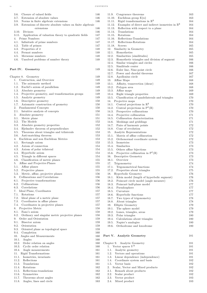i v C O N T E N T S

|                | 3.6. Closure of valued fields                                                             | 146        |
|----------------|-------------------------------------------------------------------------------------------|------------|
|                | 3.7. Extension of absolute values                                                         | 146        |
|                | 3.8. Norms in finite algebraic extensions                                                 | 146        |
|                | 3.9. Extensions of discrete absolute values on finite algebraic<br>extensions             | 146        |
|                | 3.10. Divisors                                                                            | 146        |
|                | 3.11. Application of valuation theory to quadratic fields                                 | 147        |
| 4.             | Prime Numbers                                                                             | 147        |
|                | 4.1. Infinitude of prime numbers                                                          | 147        |
|                | 4.2. Table of primes                                                                      | 147        |
|                | 4.3. Properties of $\pi$                                                                  | 148        |
|                | 4.4. Fermat numbers                                                                       | 148        |
|                | 4.5. Mersenne numbers<br>4.6. Unsolved problems of number theory                          | 148<br>148 |
|                |                                                                                           |            |
|                | Part IV. Geometry                                                                         | 149        |
|                | Chapter 8. Geometry                                                                       | 149        |
|                | 1. Contruction, and Overview                                                              | 149        |
|                | 1.1. The axiomatic method                                                                 | 149        |
|                | 1.2. Euclid's axiom of parallelism                                                        | 149        |
|                | 1.3. Absolute geometry<br>1.4. Projective geometry, and transformation groups             | 149<br>149 |
|                | 1.5. Analytic geometry                                                                    | 149        |
|                | 1.6. Descriptive geometry                                                                 | 150        |
|                | 1.7. Axiomatic construction of geometry                                                   | 150        |
| 2.             | <b>Fundamental Concepts</b>                                                               | 150        |
|                | 2.1. Intuitive analysis of concepts                                                       | 150        |
| 3.             | Absolute geometry                                                                         | 151        |
|                | 3.1. Metric plane                                                                         | 151        |
|                | 3.2. The Models                                                                           | 152        |
|                | 3.3. Absolute geometry properties                                                         | 152<br>152 |
|                | 3.4. Hjelmslev theorem of perpendiculars<br>3.5. Theorems about triangles and trilaterals | 153        |
| 3.6.           | Anti-matching theorem                                                                     | 153        |
| 4.             | Euclidean and non Euclidean Metrics                                                       | 153        |
|                | 4.1. Rectangle axiom                                                                      | 153        |
| 4.2.           | Axiom of connection                                                                       | 154        |
|                | 4.3. Axiom of polar trilateral                                                            | 154        |
|                | 4.4. Hyperbolic axiom                                                                     | 154        |
|                | 4.5. Triangle in different spaces                                                         | 154        |
|                | 4.6. Classification of metric planes<br>5. Affine and Projective Planes                   | 155        |
|                | 5.1. Affine planes                                                                        | 155<br>155 |
|                | 5.2. Projective planes                                                                    | 155        |
|                | 5.3. Metric, affine, projective planes                                                    | 156        |
|                | 6. Collineations and Correlations                                                         | 156        |
|                | 6.1. Projective transformations                                                           | 156        |
| 6.2.           | Collineations                                                                             | 156        |
|                | 6.3. Correlations                                                                         | 156        |
| 7.             | Ideal Plane, Coordinates                                                                  | 157        |
|                | 7.1. Rotations<br>7.2. Ideal plane of a metric plane                                      | 157<br>157 |
|                | 7.3. Coordinates in affine planes                                                         | 157        |
| 7.4.           | Coordinates in projective planes                                                          | 157        |
| 8. .           | Projective Metric                                                                         | 158        |
|                | 8.1. Fano's axiom                                                                         | 158        |
| 8.2.           | Ordinary and singular metric projective planes                                            | 158        |
| 9.             | Order and Orientation                                                                     | 159        |
|                | 9.1. Bisector axiom                                                                       | 159        |
| 9.2.           | Orientation                                                                               | 159        |
| 9.3.           | Oriented plane as topological space<br>9.4. Completion                                    | 159<br>160 |
| 10.            | Angles and Measurements                                                                   | 160        |
|                | 10.1. Angles                                                                              | 160        |
|                | 10.2. Order relation on angles                                                            | 160        |
|                | 10.3. Cyclic order relation                                                               | 160        |
|                | 10.4. Angle measurements                                                                  | 161        |
| 11.            | Rigid Transformations                                                                     | 161        |
| 11.1.          | Isometries, invariants                                                                    | 161        |
| 11.2.          | Reflections                                                                               | 161        |
| 11.3.<br>11.4. | Translations<br>Rotations                                                                 | 161<br>162 |
| 11.5.          | Reflections-translations                                                                  | 162        |
|                | 11.6. Symmetries                                                                          | 162        |
|                | 11.7. Theorems about angles                                                               | 162        |
| 11.8.          | Angles, lines and circle                                                                  | 163        |

| 11.9. Congruence theorems                                              | 163 |
|------------------------------------------------------------------------|-----|
| 11.10. Euclidean group $E(n)$                                          | 163 |
| Rigid transformations in $\mathbb{R}^3$<br>11.11.                      | 164 |
| Examples of direct and indirect isometries in $\mathbb{R}^3$<br>11.12. | 164 |
| 11.13.<br>Reflection with respect to a plane                           | 164 |
| 11.14.<br>Translations                                                 | 164 |
|                                                                        |     |
| 11.15.<br>Rotations                                                    | 164 |
| Reflections-Translations<br>11.16.                                     | 164 |
| Reflections-Rotations<br>11.17.                                        | 164 |
| 11.18. Screws                                                          | 165 |
| 12. Similarity in Geometry                                             | 165 |
| Homotheties<br>12.1.                                                   | 165 |
| 12.2. Similarities (similitudes)                                       | 165 |
| 12.3. Homothetic triangles and division of segment                     | 166 |
| 12.4. Similar triangles and circles                                    | 166 |
| 12.5. Similitude center                                                | 166 |
| 12.6. Euler line, Nine-point circle                                    | 166 |
| 12.7. Power and chordal theorems                                       | 167 |
| 12.8. Apollonius circle                                                | 167 |
| 13. Affine Maps                                                        | 168 |
|                                                                        | 168 |
| 13.1. Affinity, transvection (shear)                                   |     |
| 13.2. Polygon area                                                     | 168 |
| 13.3. Affine maps                                                      | 169 |
| 13.4. Right triangle properties                                        | 169 |
| 13.5. Classification of quadrilaterals and triangles                   | 170 |
| 14.<br>Projective maps                                                 | 170 |
| 14.1. Central projections in $\mathbb{R}^3$                            | 170 |
| 14.2. Central projections in $P^3(\mathbb{R})$                         | 170 |
| 14.3. Perspective collineations                                        | 170 |
| 14.4. Projective collineation                                          | 171 |
| 14.5. Collineation characterization                                    | 171 |
| 14.6. Meshings and griddings                                           | 171 |
| 14.7. Pairs of harmonic points                                         | 172 |
| 14.8. Cone of revolution                                               | 172 |
| 15. Analytic Representations                                           | 172 |
| 15.1. Matrix of affine collineation                                    | 172 |
| 15.2. Orthonormal coordinate system                                    | 172 |
|                                                                        |     |
| 15.3. Isometries                                                       | 173 |
| 15.4. Similarites                                                      | 173 |
| 15.5. Others affine bijections                                         | 173 |
| 15.6. Projective collineation in $P^2(\mathbb{R})$                     | 173 |
| 16. Descriptive Geometry                                               | 173 |
| 16.1. Overview                                                         | 173 |
| 17.<br>Trigonometry                                                    | 174 |
| 17.1. Trigonometrical functions                                        | 174 |
| 17.2.<br>Properties about triangles                                    | 175 |
| 18.<br><b>Hyperbolic Geometry</b>                                      | 176 |
| Klein model (length of hyperbolic segment)<br>18.1.                    | 176 |
| 18.2. Poincaré circle model (angle measure)                            | 176 |
| 18.3.<br>Poincaré half-plane model                                     | 177 |
| 18.4.<br>Pseudosphere                                                  | 177 |
| 18.5. Curvature                                                        | 177 |
| 18.6. Hyperbolic functions                                             | 177 |
|                                                                        |     |
| 18.7.<br>Two types of trigonometry                                     | 178 |
| 18.8. About triangles                                                  | 178 |
| 19.<br>Elliptic Geometry                                               | 179 |
| 19.1.<br>The sphere model                                              | 179 |
| 19.2. Lunes, triangles, areas                                          | 179 |
| 19.3. Polar triangles                                                  | 180 |
| 19.4.<br>Calculations about triangles                                  | 180 |
| 19.5. Napier's analogies                                               | 180 |
| 19.6. Orthodrome and loxodrome                                         | 180 |
|                                                                        |     |
|                                                                        |     |
| Part V. Analytic Geometry                                              | 181 |
|                                                                        |     |
| Chapter 9. Analytic Geometry                                           | 181 |
| 1. Vector spaces $V^3$                                                 | 181 |
| 1.1.<br>Analytic geometry                                              | 181 |
| 1.2.<br>Vectors and operations                                         | 181 |
| 1.3. Linear dependence (independence)                                  | 181 |
| 1.4. Coordinate system and basis                                       | 182 |
| 1.5.<br>Vector basis                                                   | 182 |
| 2.<br>Scalar, Vector and Mixed products                                | 182 |
| 2.1. Remark about products                                             | 182 |
| 2.2.<br>Scalar product                                                 | 182 |
| 2.3.<br>Vector product                                                 | 183 |
| 2.4. Mixed product                                                     | 183 |
|                                                                        |     |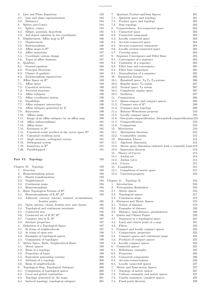| 3.<br>Line and Plane Equations                                       | 183 |
|----------------------------------------------------------------------|-----|
| 3.1.<br>Line and plane representations                               | 183 |
| 3.2.<br>Distances                                                    | 184 |
| 4.<br>Sphere and Conics                                              | 184 |
| 4.1.<br>Sphere, conics                                               | 184 |
| 4.2.<br>Ellipse, parabola, hyperbola                                 | 185 |
| 4.3.<br>2nd degree equation in two coordinates                       | 186 |
| Displacement, Affine map in $\mathbb{R}^3$<br>5.                     | 186 |
| 5.1.<br>Displacement                                                 | 186 |
| 5.2.<br>Endomorphism                                                 | 186 |
| Affine maps in $\mathbb{R}^3$<br>5.3.                                | 186 |
| Affine isometries<br>5.4.                                            | 187 |
| 5.5.<br>Coordinate system change                                     | 187 |
| 5.6.<br>Types of affine isometry                                     | 187 |
| 6.<br>Quadrics                                                       | 188 |
| 6.1.<br>General equation                                             | 188 |
| 6.2.<br>Principal directions                                         | 188 |
| 6.3.<br>Classes of quadrics                                          | 188 |
| 6.4.<br>Endomorphism eigenvectors                                    | 189 |
| 7.<br>Affine Space on $\mathbb{R}^n$                                 | 189 |
| 7.1.<br>Affine space                                                 | 189 |
| 7.2.<br>Canonical structure                                          | 190 |
| 7.3.<br>Vectorial structure                                          | 190 |
| 7.4.<br>Affine subspace                                              | 190 |
| 7.5.<br>Affine coordinates system                                    | 190 |
| 7.6.<br>Parallelism                                                  | 190 |
| 7.7.<br>Affine subspace intersection                                 | 190 |
| 7.8.<br>Affine subspace generated by $E$                             | 190 |
| 7.9.<br>Barycenter                                                   | 190 |
| 7.10.<br>Affines maps                                                | 190 |
| 7.11. Image of an affine subspace by an affine map                   | 190 |
| 7.12.<br>Affine endomorphisms                                        | 191 |
| 7.13. Affine forms                                                   | 191 |
| 7.14.<br>Extension to $\mathbb{R}^n$                                 | 191 |
| 7.15.<br>Canonical scalar product in the vector space $\mathbb{R}^n$ | 191 |
| 7.16.<br>Canonical euclidean norm                                    | 191 |
| 7.17.<br>Angle measure, orthogonal vectors                           | 191 |
| 7.18.<br>Orthogonal system                                           | 191 |
| Isometries in $\mathbb{R}^3$<br>7.19.                                | 191 |
| 7.20.<br>Parallelepiped                                              | 191 |
|                                                                      |     |

## Part VI. Topology 193

| Chapter 10. Topology                                               | 193 |
|--------------------------------------------------------------------|-----|
| Overview<br>$1_{-}$                                                | 193 |
| 2.<br>Homeomorphism notion                                         | 193 |
| 2.1.<br>Elastic transformation                                     | 193 |
| 2.2.<br>Neighborhood                                               | 194 |
| 2.3. Continuous maps                                               | 194 |
| 2.4. Homeomorphism                                                 | 194 |
| 3.<br>Basic Topological Notions of $\mathbb{R}^p$                  | 194 |
| Homeomorphisms of $\mathbb{R}, \mathbb{R}^2, \mathbb{R}^3$<br>3.1. | 195 |
| 3.2.<br>Adherent, exterior, interior, isolated, accumulation,      |     |
| frontier points                                                    | 195 |
| 3.3.<br>Open, interior, closed, frontier sets, and closure         | 195 |
| 3.4.<br>Topological and continuous invariants                      | 195 |
| 3.5.<br>Connected sets                                             | 195 |
| Connected set of $\mathbb{R}, \mathbb{R}^2, \mathbb{R}^3$<br>3.6.  | 196 |
| 3.7.<br>Compact sets in $\mathbb{R}$ , $\mathbb{R}^p$              | 197 |
| 3.8.<br>Intrinsic properties                                       | 197 |
| Definition of a Topological Space<br>4.                            | 197 |
| In terms of neighborhoods<br>4.1.                                  | 197 |
| 4.2.<br>In terms of open sets                                      | 198 |
| Examples of topological spaces<br>4.3.                             | 198 |
| 4.4.<br>Comparison of topologies                                   | 199 |
| Metric Space, Basis, Neighborhood Basis<br>5.                      | 199 |
| Metric spaces<br>5.1.                                              | 199 |
| 5.2. Basis of a topology                                           | 199 |
| 5.3.<br>Properties of bases                                        | 199 |
| 5.4.<br>Equivalent generating systems                              | 200 |
| 5.5.<br>Subbasis of a topology                                     | 200 |
| 5.6.<br>Basis of neighborhoods                                     | 200 |
| Topological Map, Topological Subspace<br>6.                        | 200 |
| 6.1.<br>Comparison of topological spaces                           | 200 |
| 6.2.<br>Local and global continuities                              | 200 |
| 6.3.<br>Topology generated by the maps                             | 201 |
| 6.4.<br>Induced topology, topological subspace                     | 201 |
|                                                                    |     |

| 183 | 7.<br>Quotient, Product and Sum Spaces                                | 201 |
|-----|-----------------------------------------------------------------------|-----|
| 183 | 7.1.                                                                  | 201 |
|     | Quotient space and topology                                           |     |
| 184 | 7.2.<br>Product space and topology                                    | 202 |
| 184 | 7.3.<br>Sum topology                                                  | 202 |
| 184 | 8.<br>Connectedness, Arc-connected space                              | 202 |
| 185 | 8.1.<br>Connected space                                               | 202 |
| 186 | 8.2.<br>Connected component                                           | 203 |
| 186 | 8.3. Locally connected space                                          | 203 |
| 186 | 8.4.<br>Arcwise-connected space                                       | 204 |
| 186 | 8.5.<br>Arcwise-connected component                                   | 204 |
| 186 | 8.6.<br>Locally arcwise-connected space                               | 204 |
| 187 | 8.7.<br>Covering space                                                | 204 |
| 187 | Sequence Convergence and Filter Base<br>9.                            | 204 |
| 187 | 9.1.<br>Convergence of a sequence                                     | 204 |
| 188 | 9.2.<br>Continuity of a sequence                                      | 204 |
| 188 | 9.3.<br>Filter base and convergence                                   | 205 |
| 188 | 9.4.<br>Filter base comparison                                        | 205 |
| 188 | 9.5.<br>Generalization of a sequence                                  | 205 |
| 189 | 10.<br>Separation Axioms                                              | 206 |
|     |                                                                       | 206 |
| 189 | Hausdorff space, $T_0, T_1, T_2$ -axioms<br>10.1.                     |     |
| 189 | 10.2.<br>Regular space, $T_3$ axiom                                   | 207 |
| 190 | 10.3.<br>Normal space, $T_4$ axiom                                    | 207 |
| 190 | 10.4.<br>Completely regular space                                     | 207 |
| 190 | 10.5.<br>Synthesis                                                    | 207 |
| 190 | 11.<br>Compactness                                                    | 208 |
| 190 | 11.1.<br>Quasi-compact and compact spaces                             | 208 |
| 190 | 11.2.<br>Compact sets of $\mathbb{R}^n$                               | 209 |
| 190 | 11.3.<br>Compact-open topology                                        | 209 |
| 190 | 11.4.<br>Bolzano-Weierstrass property                                 | 210 |
| 190 | 11.5.<br>Locally compact space                                        | 210 |
| 190 | 11.6.<br>One point compactification, Alexandroff compactification 210 |     |
| 191 | 11.7.<br>Compactification                                             | 210 |
| 191 | 11.8.<br>Compactum                                                    | 210 |
| 191 | 12.<br>Metrization                                                    | 210 |
| 191 | 12.1.<br>Metrization theorems                                         | 210 |
| 191 | 12.2.<br>Countability axioms                                          | 212 |
| 191 | 13.<br>Dimension Theory                                               | 212 |
| 191 | 13.1.<br>Algebraic dimension                                          | 212 |
| 191 | 13.2.                                                                 |     |
|     | Metric space dimension endowed with a countable basis 213             |     |
| 191 | 13.3.<br>Immersion theorem                                            | 213 |
|     | 14.<br>Theory of Curves                                               | 214 |
|     | Jordan arc<br>14.1.                                                   | 214 |
| 193 | 14.2.<br>Jordan curve                                                 |     |
|     |                                                                       | 214 |
|     | 14.3.<br>Curves                                                       | 215 |
| 193 | 15.<br>Completion                                                     | 215 |
| 193 | 15.1.<br>Completion of metric space                                   | 215 |
| 193 | 15.2.<br>Universal property                                           | 216 |
| 193 |                                                                       |     |
| 194 | Chapter 11.<br>Topology II                                            | 216 |
| 194 | 1.<br>Introduction                                                    | 216 |
| 194 | 2.<br>Prerequisites, Reminders                                        | 216 |
| 194 | 2.1.<br>Metric spaces                                                 | 216 |
| 195 | 2.2.<br>Topological spaces                                            | 217 |
|     | 2.3.                                                                  | 219 |
| 195 | Continuous maps<br>3.                                                 | 219 |
| 195 | Distances and Metric Spaces<br>3.1.                                   |     |
|     | Notion of distance                                                    | 219 |
| 195 | 3.2.<br>Examples of distance                                          | 220 |
| 195 | 3.3.<br>Distance, semi-distance, pseudometric                         | 220 |
| 196 | 4.<br>Limits and Cluster Points                                       | 220 |
| 197 | 4.1.<br>Sequences in a topological space                              | 221 |
| 197 | 4.2.<br>Limit and cluster point of a map                              | 221 |
| 197 | 4.3.<br>Filters                                                       | 222 |
| 197 | 5.<br>Compact and locally compact spaces                              | 223 |
| 198 | 5.1.<br>Compactness, properties                                       | 223 |
| 198 | 5.2.<br>Compact spaces and continuous maps                            | 224 |
| 199 | 5.3.<br>Products of compact spaces                                    | 224 |
| 199 | 5.4.<br>Locally compact spaces                                        | 224 |
| 199 | 6.<br>Connected spaces                                                | 225 |
| 199 | 6.1.<br>Definitions, examples                                         | 225 |
| 199 | 6.2.<br>Properties                                                    | 226 |
| 200 | 6.3.<br>Connected components                                          | 226 |
| 200 | 6.4.<br>Arcwise-connectedness                                         | 226 |
| 200 | 6.5.<br>Locally connected spaces                                      | 227 |
| 200 | 7.<br>Metric and Semi-metric Spaces                                   | 227 |
| 200 | 7.1.<br>Topology of metric spaces                                     | 227 |
| 200 | 7.2.<br>Uniform continuity and metric spaces                          | 227 |
| 201 | 7.3.<br>Cauchy sequences, complete spaces                             | 228 |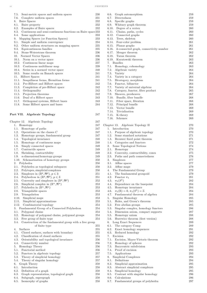| 7.5. Semi-metric spaces and uniform spaces                              | 230     | Graph automorphism<br>6.6.                               | 259 |
|-------------------------------------------------------------------------|---------|----------------------------------------------------------|-----|
| 7.6.<br>Complete uniform spaces                                         | 231     | 6.7.<br>Directedness                                     | 259 |
| 8. Baire Spaces                                                         | 232     | Specific graphs<br>6.8.                                  | 259 |
| 8.1.<br>Baire property                                                  | 232     | 6.9. Whitney graph theorem                               | 259 |
|                                                                         |         |                                                          |     |
| 8.2.<br>Examples of Baire spaces                                        | 232     | 6.10. Degree of a vertex                                 | 260 |
| 8.3.<br>Continuous and semi-continuous functions on Baire space 233     |         | 6.11.<br>Chains, paths, cycles                           | 260 |
| Some applications<br>8.4.                                               | 233     | Connected graphs<br>6.12.                                | 260 |
| 9. Mapping Spaces (or Function Spaces)                                  | 233     | 6.13.<br>Trees, skeleton                                 | 260 |
| Simple and uniform convergence<br>9.1.                                  | 234     | 6.14. Four-color problem                                 | 261 |
| Other uniform structures on mapping spaces<br>9.2.                      | 235     | 6.15. Planar graphs                                      | 261 |
| 9.3.<br>Equicontinuous families                                         | 235     | 6.16. $k$ -connected graph, connectivity number          | 261 |
| Stone-Weierstrass theorem<br>9.4.                                       | 236     | 6.17. Menger theorem                                     | 262 |
| 10. Normed Vector Spaces                                                | 236     | Turan theorem<br>6.18.                                   | 262 |
|                                                                         |         |                                                          |     |
| 10.1. Norm on a vector space                                            | 236     | 6.19. Kuratowski theorem                                 | 263 |
| 10.2. Continuous linear maps                                            | 237     | 7. Bundles                                               | 263 |
| 10.3. Continuous multilinear map                                        | 239     | 7.1.<br>Homology, cohomology                             | 263 |
| 10.4.<br>Series in a normed vector space                                | 240     | 7.2.<br>Algebraic variety                                | 264 |
| Some results on Banach spaces<br>10.5.                                  | 241     | 7.3.<br>Variety                                          | 264 |
| 11. Hilbert Spaces                                                      | 241     | 7.4.<br>Variety in a category                            | 264 |
| 11.1.<br>Sesquilinear forms, Hermitian forms                            | 241     | 7.5.<br>Bicategory, morphism                             | 264 |
| 11.2. Pre-Hilbert and Hilbert spaces                                    | 242     | Functor, bifunctor<br>7.6.                               | 264 |
| 11.3.<br>Completion of pre-Hilbert space                                | 242     | 7.7.<br>Variety of universal algebras                    | 264 |
| 11.4.<br>Orthogonality                                                  | 242     | 7.8.<br>Category, functor, fibre product                 | 265 |
|                                                                         |         |                                                          |     |
| 11.5. Projection theorems                                               | 242     | Sheaves, presheaves<br>7.9.                              | 267 |
| 11.6.<br>Dual of a Hilbert space                                        | 243     | 7.10. Bundle, fiber bundle                               | 268 |
| 11.7.<br>Orthogonal systems, Hilbert bases                              | 243     | 7.11. Fiber space, fibration                             | 268 |
| Some Hilbert spaces and bases<br>11.8.                                  | 244     | 7.12. Principal bundle                                   | 268 |
|                                                                         |         | Vector bundle<br>7.13.                                   | 269 |
|                                                                         |         | 7.14. Trivialization                                     | 269 |
| Part VII. Algebraic Topology                                            | 247     | $7.15.$ K-theory                                         | 269 |
|                                                                         |         | Schemes<br>7.16.                                         | 269 |
| Chapter 12. Algebraic Topology                                          | 247     |                                                          |     |
| 1. Homotopy                                                             | 247     | Chapter 13. Algebraic Topology II                        | 270 |
|                                                                         | 247     |                                                          |     |
| Homotopy of paths<br>1.1.                                               |         | 1. Introduction                                          | 270 |
| Operations on the classes $C$<br>1.2.                                   | 247     | 1.1. Purpose of algebraic topology                       | 270 |
| 1.3.<br>Homotopy groups, fundamental group                              | 247     | 1.2.<br>Some standard notations                          | 271 |
| Topological invariance<br>1.4.                                          | 248     | 1.3.<br>Brouwer fixed point theorem                      | 271 |
| Homotopy of continuous maps<br>1.5.                                     | 248     | Categories and functors<br>1.4.                          | 272 |
| Simply connected spaces<br>1.6.                                         | 249     | Some Topological Notions<br>2.                           | 274 |
| 1.7.<br>Contractile spaces                                              | 249     | 2.1.<br>Homotopy                                         | 274 |
| Shrinking, contractibility<br>1.8.                                      | 249     | Convexity, contractibility, cones<br>2.2.                | 275 |
| 1.9.<br>$n$ -dimensional homotopy groups                                | 249     | 2.3.<br>Paths and path connectedness                     | 276 |
| Schematization of homotopy groups<br>1.10.                              | 250     | 3.<br>Simplexes                                          | 277 |
| 2. Polyhedra                                                            | 250     | Affine spaces<br>3.1.                                    | 277 |
|                                                                         |         |                                                          |     |
| 2.1. Polyhedra as topological subspaces                                 | 250     | 3.2.<br>Affine maps                                      | 279 |
| 2.2.<br>Polytopes, simplicial complexes                                 | 250     | The Fundamental Group<br>4.                              | 279 |
| Simplexes in $(\mathbb{R}^p, \mathfrak{R}^p)$ , $p \leqslant 3$<br>2.3. | $251\,$ | The fundamental groupoid<br>4.1.                         | 279 |
| Polyhedron in $(\mathbb{R}^p, \mathfrak{R}^p), p \leq 3$<br>2.4.        | 251     | 4.2.<br>Functor $\pi_1$                                  | 281 |
| 2.5.<br>Convexity and simplexes in $(\mathbb{R}^p, \mathfrak{R}^p)$     | 252     | $\pi_1(S^1)$<br>4.3.                                     | 282 |
| Simplicial complex in $(\mathbb{R}^n, \mathfrak{R}^n)$<br>2.6.          | 253     | Dependence on the basepoint<br>4.4.                      | 284 |
| Polyhedra in $(\mathbb{R}^n, \mathfrak{R}^n)$<br>2.7.                   | 253     | 4.5.<br>Homotopy invariance                              | 284 |
| Triangulable spaces<br>2.8.                                             | 253     | $\pi_1(\mathbb{R}) = 0, \pi_1(S^1) = \mathbb{Z}$<br>4.6. | 284 |
| Triangulation<br>2.9.                                                   | 253     | Fundamental theorem of algebra<br>4.7.                   | 284 |
| Simplicial maps<br>2.10.                                                | 253     | Singular Homology<br>5.                                  | 285 |
| 2.11.<br>Simplicial approximations                                      | 253     | Holes, and Green's theorem<br>5.1.                       | 285 |
|                                                                         |         |                                                          |     |
| Combinatorial topology<br>2.12.                                         | 254     | Free abelian groups<br>5.2.                              | 285 |
| 3. Fundamental Group of a Connected Polyhedron                          | 254     | Singular complex, homology functors<br>5.3.              | 286 |
| Polygonal chains<br>3.1.                                                | 254     | 5.4.<br>Dimension axiom, compact supports                | 287 |
| Homotopy of polygonal chains, polygonal groups<br>3.2.                  | 254     | 5.5.<br>Homotopy axiom                                   | 288 |
| Free group of finite type<br>3.3.                                       | 254     | Hurewicz theorem (first version)<br>5.6.                 | 288 |
| Construction of the fundamental group with a free group<br>3.4.         |         | Long Exact Sequences<br>6.                               | 289 |
| of finite type                                                          | 255     | The category Comp<br>6.1.                                | 289 |
| 4. Surfaces                                                             | 255     | 6.2.<br>Exact homology sequences                         | 291 |
| Closed surfaces, surfaces with boundary<br>4.1.                         | 255     | 6.3.<br>Reduced homology                                 | 292 |
| Classification of closed surfaces<br>4.2.                               | 255     | Excision<br>7.                                           | 292 |
| Orientability and topological invariance<br>4.3.                        | 256     | 7.1.<br>Excision, Mayer-Vietoris theorem                 | 292 |
| Connectivity number                                                     |         | 7.2.                                                     | 292 |
| 4.4.                                                                    | 256     | Homology of spheres                                      |     |
| 5. Homology Theory                                                      | 256     | 7.3.<br>Barycentric subdivision                          | 293 |
| Functorial method<br>5.1.                                               | 256     | Proof of excision<br>7.4.                                | 293 |
| 5.2.<br>Functors in algebraic topology                                  | 257     | Applications<br>7.5.                                     | 293 |
| Theory of simplicial homology<br>5.3.                                   | 257     | Simplicial Complexes<br>8.                               | 294 |
| Theory of singular homology<br>5.4.                                     | 257     | Definitions<br>8.1.                                      | 294 |
| 6. Graph Theory                                                         | 258     | 8.2.<br>Simplicial approximation                         | 295 |
| Introduction<br>6.1.                                                    | 258     | Abstract simplicial complexes<br>8.3.                    | 295 |
| 6.2.<br>Definition of a graph                                           | 258     | Simplicial homology<br>8.4.                              | 295 |
| 6.3.<br>Graph representation, topological graph                         | 258     | 8.5.<br>Contrast with singular homology                  | 296 |
|                                                                         |         |                                                          |     |
| Subgraph, supergraph<br>6.4.                                            | 258     | Calculations<br>8.6.                                     | 296 |
| Isomorphy of graphs<br>6.5.                                             | 258     | Fundamental groups of polyhedra<br>8.7.                  | 297 |

| 6.7.         | Directedness                                                           | 259        |
|--------------|------------------------------------------------------------------------|------------|
| 6.8.         | Specific graphs                                                        | 259        |
|              | 6.9. Whitney graph theorem<br>$6.10.$ Degree of a vertex               | 259<br>260 |
|              | 6.11. Chains, paths, cycles                                            | 260        |
| 6.12.        | Connected graphs                                                       | 260        |
|              | 6.13. Trees, skeleton                                                  | 260        |
|              | 6.14. Four-color problem                                               | 261        |
|              | 6.15. Planar graphs                                                    | 261        |
|              | 6.16. $k$ -connected graph, connectivity number                        | 261        |
|              | 6.17. Menger theorem<br>6.18. Turan theorem                            | 262<br>262 |
|              | 6.19. Kuratowski theorem                                               | 263        |
| 7.           | <b>Bundles</b>                                                         | 263        |
|              | 7.1. Homology, cohomology                                              | 263        |
| 7.2.         | Algebraic variety                                                      | 264        |
| 7.3.         | Variety                                                                | 264        |
| 7.4.         | Variety in a category                                                  | 264        |
|              | 7.5. Bicategory, morphism                                              | 264        |
|              | 7.6. Functor, bifunctor                                                | 264        |
| 7.8.         | 7.7. Variety of universal algebras<br>Category, functor, fibre product | 264<br>265 |
| 7.9.         | Sheaves, presheaves                                                    | 267        |
|              | 7.10. Bundle, fiber bundle                                             | 268        |
|              | 7.11. Fiber space, fibration                                           | 268        |
| 7.12.        | Principal bundle                                                       | 268        |
|              | 7.13. Vector bundle                                                    | 269        |
|              | 7.14. Trivialization                                                   | 269        |
|              | 7.15. K-theory                                                         | 269        |
|              | 7.16. Schemes                                                          | 269        |
| Chapter 13.  | Algebraic Topology II                                                  | 270        |
| 1.           | Introduction                                                           | 270        |
| 1.1.         | Purpose of algebraic topology                                          | 270        |
|              | 1.2. Some standard notations                                           | 271        |
|              | 1.3. Brouwer fixed point theorem                                       | 271        |
|              | 1.4. Categories and functors                                           | 272        |
| 2.           | Some Topological Notions                                               | 274        |
|              | 2.1. Homotopy                                                          | 274        |
| 2.2.         | Convexity, contractibility, cones                                      | 275        |
| 3.           | 2.3. Paths and path connectedness                                      | 276<br>277 |
|              | Simplexes<br>3.1. Affine spaces                                        | 277        |
|              | 3.2. Affine maps                                                       | 279        |
| 4.           | The Fundamental Group                                                  | 279        |
| 4.1.         | The fundamental groupoid                                               | 279        |
| 4.2.         | Functor $\pi_1$                                                        | 281        |
| 4.3.         | $\pi_1(S^1)$                                                           | 282        |
| 4.4.         | Dependence on the basepoint                                            | 284        |
| 4.5.         | Homotopy invariance                                                    | 284        |
| 4.6.         | $\pi_1(\mathbb{R}) = 0, \pi_1(S^1) = \mathbb{Z}$                       | 284        |
| 4.7.<br>5.   | Fundamental theorem of algebra                                         | 284<br>285 |
| 5.1.         | Singular Homology<br>Holes, and Green's theorem                        | 285        |
| 5.2.         | Free abelian groups                                                    | 285        |
| 5.3.         | Singular complex, homology functors                                    | 286        |
|              | 5.4. Dimension axiom, compact supports                                 | 287        |
|              | 5.5. Homotopy axiom                                                    | 288        |
|              | 5.6. Hurewicz theorem (first version)                                  | 288        |
| 6.           | Long Exact Sequences                                                   | 289        |
| 6.1.         | The category Comp                                                      | 289        |
|              | 6.2. Exact homology sequences                                          | 291        |
| 6.3.<br>7.   | Reduced homology<br>Excision                                           | 292<br>292 |
|              | 7.1. Excision, Mayer-Vietoris theorem                                  | 292        |
| 7.2.         | Homology of spheres                                                    | 292        |
|              | 7.3. Barycentric subdivision                                           | 293        |
|              | 7.4. Proof of excision                                                 | 293        |
|              | 7.5. Applications                                                      | 293        |
| 8.           | Simplicial Complexes                                                   | 294        |
| 8.1.         | Definitions                                                            | 294        |
| 8.2.         | Simplicial approximation                                               | 295        |
| 8.3.         | Abstract simplicial complexes                                          | 295<br>295 |
| 8.4.<br>8.5. | Simplicial homology<br>Contrast with singular homology                 | 296        |
| 8.6.         | Calculations                                                           | 296        |
| 8.7.         | Fundamental groups of polyhedra                                        | 297        |
|              |                                                                        |            |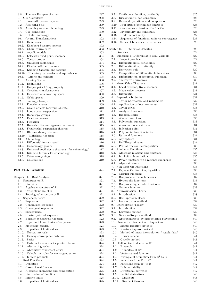| 8.8. The van Kampen theorem                                                                    | 297        |
|------------------------------------------------------------------------------------------------|------------|
| 9. CW Complexes                                                                                | 298        |
| 9.1. Hausdorff quotient spaces                                                                 | 299        |
| 9.2. Attaching cells                                                                           | 299        |
| 9.3. Attaching cells and homology<br>9.4. CW complexes                                         | 299<br>300 |
| 9.5. Cellular homology                                                                         | 301        |
| 10. Natural Transformations                                                                    | 302        |
| 10.1. Definitions                                                                              | 302        |
| 10.2. Eilenberg-Steenrod axioms                                                                | 302        |
| 10.3. Chain equivalences                                                                       | 303        |
| 10.4. Acyclic models                                                                           | 303        |
| 10.5. Lefschetz fixed point theorem                                                            | 304        |
| 10.6. Tensor product                                                                           | 304        |
| 10.7. Universal coefficients                                                                   | 304        |
| 10.8. Eilenberg-Zilber theorem<br>10.9. Künneth theorem and formula                            | 305<br>305 |
| 10.10. Homotopy categories and equivalence                                                     | 305        |
| 10.11. Limits and colimits                                                                     | 305        |
| 11. Covering Spaces                                                                            | 306        |
| 11.1.<br>Definitions                                                                           | 306        |
| 11.2. Unique path lifting property                                                             | 307        |
| 11.3. Covering transformations                                                                 | 307        |
| 11.4. Existence of a covering space                                                            | 308        |
| 11.5. Orbit spaces                                                                             | 309        |
| 12. Homotopy Groups                                                                            | 309        |
| 12.1. Function spaces                                                                          | 309        |
| 12.2. Group objects (cogroup objects)<br>12.3. Loop space, suspension                          | 310<br>311 |
| 12.4. Homotopy groups                                                                          | 312        |
| 12.5. Exact sequences                                                                          | 313        |
| 12.6. Fibration                                                                                | 314        |
| 12.7. Hurewicz theorem (general versions)                                                      | 315        |
| 12.8. Freudenthal suspension theorem                                                           | 315        |
| 12.9. Blakers-Massey theorem                                                                   | 315        |
| 12.10. Whitehead theorem                                                                       | 315        |
| 13. Cohomology                                                                                 | 316        |
| 13.1. Differential forms (recall)                                                              | 316        |
| 13.2. Cohomology groups                                                                        | 316        |
| 13.3. Universal coefficients theorems (for cohomology)<br>13.4. Künneth formula for cohomology | 317<br>318 |
| 13.5. Cohomology rings                                                                         | 318        |
| 13.6. Calculations                                                                             | $^{319}$   |
| Part VIII. Analysis                                                                            | 321        |
|                                                                                                |            |
| Chapter 14. Real Analysis                                                                      | 321        |
| Structures on R<br>1.                                                                          | 321        |
| 1.1.<br>Overview                                                                               | 321        |
| 1.2.<br>Algebraic structure of $\mathbb R$                                                     | 321        |
| 1.3. Order structure of $\mathbb R$                                                            | 321        |
| 1.4. Topological structure of $\mathbb R$                                                      | 321        |
| 2.<br>Sequences, Series<br>2.1.<br>Sequences                                                   | 322<br>322 |
| 2.2.<br>Generalized sequence                                                                   | 322        |
| 2.3.<br>Convergent sequences                                                                   | 322        |
| 2.4.<br>Subsequence                                                                            | 322        |
| 2.5.<br>Cluster point of sequence                                                              | 322        |
| 2.6.<br>Bolzano-Weierstrass theorem                                                            | 322        |
| 2.7.<br>Upper and lower limits of sequence                                                     | 323        |
| 2.8.<br>Monotony criteria                                                                      | 323        |
| 2.9.<br>Properties of limit values                                                             | 323        |
| 2.10.<br>Nested intervals                                                                      | 323        |
| 2.11. Cauchy convergence criterion                                                             | 323        |
| 2.12.<br>Series                                                                                | 323        |
| 2.13.<br>Criteria for series with positive terms                                               | 324<br>324 |
| 2.14. Alternating series<br>2.15.<br>Absolutely convergent series                              | 324        |
|                                                                                                |            |

| 2.10. Absolutely convergent series         |  |  |
|--------------------------------------------|--|--|
| 0.10 Coloubtion when for consequent conico |  |  |

2.16. Calculation rules for convergent series 324<br>2.17. Infinite products 324 2.17. Infinite products

- 3. Real Functions 324
- 
- 3.1. Definition 324
- 3.2. Cases of real function 324<br>3.3. Algebraic operations and composition 325 3.3. Algebraic operations and composition
- 
- 3.4. Limit value of function 325<br>3.5. Infinite limits 325  $3.5.$  Infinite limits
- 3.6. Properties of limit values 325

| 3.7.<br>Continuous function, continuity                           | 325     |
|-------------------------------------------------------------------|---------|
| 3.8.<br>Discontinuity, non continuity                             | 326     |
| 3.9.<br>Rational operations and composition                       | 326     |
| 3.10. Properties of continuous functions                          | 326     |
| 3.11. Continuous extension of a function                          | 326     |
| 3.12. Invertibility and continuity                                | 327     |
| 3.13. Uniform continuity                                          | 327     |
| 3.14. Sequences of functions, uniform convergence                 | 327     |
| 3.15. Series of functions, entire series                          | 328     |
|                                                                   |         |
| Chapter 15.<br>Differential Calculus                              | 328     |
| Overview<br>1.                                                    | 328     |
| 2.<br>Functions of Differentiable Real Variable                   | 329     |
|                                                                   | 329     |
| 2.1. Tangent problem                                              |         |
| 2.2. Differentiability, derivability                              | 329     |
| 2.3. Differentiability, continuity                                | 329     |
| 2.4. Derivation rule                                              | 329     |
| 2.5. Composition of differentiable functions                      | 330     |
| 2.6. Differentiation of reciprocal functions                      | 330     |
| 2.7. Successive derivatives                                       | 330     |
| Mean Value Theorems<br>3.                                         | 331     |
| 3.1. Local extrema, Rolle theorem                                 | 331     |
| 3.2. Mean value theorem                                           | 331     |
| 3.3. Differential                                                 | 331     |
| 4. Expansion In Series                                            | 332     |
| 4.1. Taylor polynomial and remainders                             | 332     |
| 4.2. Application to local extremum                                | 332     |
| 4.3. Taylor series                                                | 333     |
| 4.4. Analytic functions                                           | 333     |
| 4.5. Binomial series                                              | 333     |
| 5. Rational Functions                                             | 333     |
| 5.1. Polynomial functions                                         | 333     |
| 5.2. Zeros and local extrema                                      | 334     |
| 5.3. Inflection point                                             | 334     |
| 5.4. Polynomial function limits                                   | 334     |
| 5.5. Rational functions                                           | 334     |
| 5.6. Asymptotes                                                   | 334     |
| 5.7. De l'Hospital rules                                          | 334     |
| 5.8. Partial fraction decomposition                               | 335     |
| 6. Algebraic Functions                                            | 335     |
| 6.1. Algebraic relations and functions                            | 335     |
| 6.2. Implicit differentiation                                     | 335     |
| 6.3. Power functions with rational exponents                      | 336     |
| 6.4. Algebraic curve                                              | 336     |
| 7. Non-algebraic Functions                                        | 336     |
| 7.1.<br>Exponential function, logarithm                           | 336     |
| 7.2.<br>Circular functions                                        | 336     |
| 7.3.                                                              | 337     |
| Reciprocal circular functions                                     |         |
| 7.4.<br>Hyperbolic functions<br>7.5.                              | 337     |
| Reciprocal hyperbolic functions<br>7.6.                           | 337     |
| Gamma function                                                    | 337     |
| 8. .<br>Approximation Theory                                      | 338     |
| 8.1.<br>Introduction                                              | 338     |
| 8.2. Best approximations                                          | 338     |
| 8.3. Least-squares method                                         | 339     |
| 9. Interpolation Theory                                           | 339     |
| 9.1.<br>Introduction                                              | 339     |
| 9.2. Lagrange method                                              | 339     |
| 9.3. Newton-Gregory method                                        | 339     |
| 9.4. Approximations by interpolation polynomials                  | 340     |
| 10.<br>Numerical Resolution of Equations                          | 340     |
| 10.1.<br>Simple iterative methods                                 | 340     |
| 10.2. Newton-Raphson method                                       | $340\,$ |
| 10.3.<br>Method of linear interpolation, "regula falsi"           | 340     |
| 10.4.<br>Horner scheme                                            | 341     |
| 10.5. Graeffe method                                              | 341     |
| 11. Differential Calculus in $\mathbb{R}^n$                       | 341     |
| 11.1. Preamble                                                    | 341     |
| 11.2. Properties of $\mathbb{R}^n$                                | 341     |
| 11.3. Vector-valued function                                      | 341     |
| Example of a function from $\mathbb{R}^2$ to $\mathbb R$<br>11.4. | 341     |
| 11.5. Functions from $\mathbb{R}$ to $\mathbb{R}^m$               | 341     |
| 11.6. Functions from $\mathbb{R}^n$ to $\mathbb{R}$               | 342     |
| 11.7. Differentiability                                           | 342     |
| 11.8. Directional derivates                                       | 342     |

11.9. Partial derivatives 343 11.10. Gradients 343 11.11. Gradient theorem 343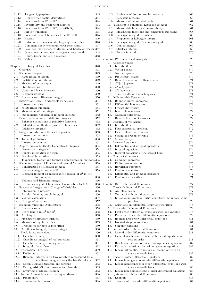v iii C O N T E N T S

| 11.12.<br>Tangent hyperplane                                              | 343 |
|---------------------------------------------------------------------------|-----|
| 11.13.<br>Higher order partial derivatives                                | 344 |
| Functions from $\mathbb{R}^n$ to $\mathbb{R}^m$<br>11.14.                 | 344 |
|                                                                           |     |
| Invertibility and reciprocal function<br>11.15.                           | 344 |
| Functions from $\mathbb{R}^n$ to $\mathbb{R}^n$ , invertibility<br>11.16. | 344 |
| Implicit functions<br>11.17.                                              | 345 |
| Local extrema of functions from $\mathbb{R}^n$ to $\mathbb{R}$<br>11.18.  | 345 |
|                                                                           |     |
| 11.19.<br>Hessian                                                         | 346 |
| 11.20.<br>Extrema with constraints, Lagrange multiplier                   | 346 |
| 11.21.<br>Comment about extremum with constraints                         | 347 |
| 11.22.                                                                    |     |
| Level set, divergence, rotational, and Laplacian vector 347               |     |
| Operations on gradient, divergence, rotational<br>11.23.                  | 348 |
| 11.24.<br>Gauss, Green and curl theorems                                  | 348 |
| 11.25.<br>Nabla                                                           | 348 |
|                                                                           |     |
|                                                                           |     |
| Chapter 16.<br>Integral Calculus                                          | 348 |
| 1.<br>Overview                                                            | 348 |
| $\overline{2}$ .<br>Riemann Integral                                      | 349 |
|                                                                           |     |
| 2.1. Hypograph, epigraph                                                  | 349 |
| 2.2. Partitions of an interval                                            | 349 |
| 2.3. Measure of hypographs                                                | 349 |
| 2.4.<br>Step functions                                                    | 350 |
|                                                                           |     |
| 2.5. Upper and lower integrals                                            | 350 |
| 2.6. Riemann integral                                                     | 350 |
| 2.7. Riemann sum, Riemann integral                                        | 350 |
|                                                                           |     |
| Integration Rules, R-integrable Functions<br>3.                           | 351 |
| 3.1. Integration rules                                                    | 351 |
| 3.2. $R$ -integrable functions                                            | 351 |
| 3.3. Mean-value of the integral                                           | 351 |
|                                                                           |     |
| 3.4. Fundamental theorem of integral calculus                             | 352 |
| Primitive Functions, Indefinite Integrals<br>4.                           | 352 |
| 4.1. Existence conditions of primitive functions                          | 352 |
|                                                                           |     |
| 4.2.<br>Calculation methods of primitive functions                        | 352 |
| 4.3. Indefinite integrals                                                 | 352 |
| 5.<br>Integration Methods, Series Integration                             | 353 |
|                                                                           | 353 |
| 5.1. Integration methods                                                  |     |
| 5.2. Table of primitives                                                  | 353 |
| 5.3.<br>Integration of series                                             | 354 |
| Approximation Methods, Generalized Integrals<br>6.                        | 354 |
|                                                                           |     |
| 6.1. Generalized integrals                                                | 354 |
| 6.2. Cauchy integration criterion                                         | 355 |
| 6.3.<br>Graphical integration                                             | 355 |
| 6.4.                                                                      |     |
| Trapezium, Kepler and Simpson approximation methods 355                   |     |
| 7.<br>Riemann Integral of Functions of Several Variables                  | 355 |
| 7.1.<br>Construction of Riemann integral                                  | 355 |
| Riemann integral on tiles of $\mathbb{R}^2$<br>7.2.                       | 355 |
|                                                                           |     |
| Riemann integral on measurable domains of $\mathbb{R}^2$ in the<br>7.3.   |     |
| Jordan sense                                                              | 356 |
| 7.4.<br>Volumes and Riemann integral                                      | 356 |
|                                                                           |     |
| 7.5.<br>Riemann integral of functions of <i>n</i> variables $(n \ge 3)$   | 356 |
| Successive Integrations, Change of Variables<br>8. .                      | 356 |
| 8.1.<br>Integration in practice                                           | 356 |
| 8.2.<br>Regular domain, double integral                                   | 356 |
|                                                                           |     |
| 8.3.<br>Volume calculation                                                | 357 |
| 8.4.<br>Change of variables                                               | 357 |
| 9.<br>Riemann Sums and Applications                                       | 358 |
| 9.1.                                                                      | 358 |
| Riemann sums                                                              |     |
| 9.2. Curve length in $\mathbb{R}^3$ (or $\mathbb{R}^2$ )                  | 358 |
| 9.3.<br>Arc length                                                        | 358 |
| 9.4.<br>Measure of arbitrary surfaces                                     | 359 |
|                                                                           |     |
| 9.5. Measure of regular surface                                           | 359 |
| Problem of surfaces of revolution<br>9.6.                                 | 360 |
| Curvilinear Integral, Surface Integral<br>10.                             | 360 |
| 11.                                                                       |     |
| Field, force, work-done                                                   | 360 |
| 11.1.<br>Curvilinear integral                                             | 360 |
| 11.2. Curvilinear integral of real functions                              | 361 |
| 11.3. Curvilinear integral of a gradient                                  | 361 |
|                                                                           |     |
| 11.4.<br>Integral of a surface                                            | 362 |
| 12. Integration Theorems                                                  | 362 |
| 12.1.<br>Preliminary                                                      | 362 |
|                                                                           |     |
| 12.2.<br>Riemann integral with two variables represented by a             |     |
| curvilinear integral along the frontier of $D_f$                          | 362 |
| Green-Riemann theorem and formula<br>12.3.                                | 363 |
| Ostrogradsky-Stokes theorem and formula<br>12.4.                          | 363 |
|                                                                           |     |
| Overview of Stokes theorem<br>12.5.                                       | 363 |
| 13.<br>Jordan Areolar Measure, Lebesgue Measure                           | 365 |
| 13.1.<br>Preliminary                                                      | 365 |
|                                                                           |     |
| 13.2. Jordan areolar measure                                              | 365 |

| 13.4.        | Lebesgue measure                                                                              | 366        |
|--------------|-----------------------------------------------------------------------------------------------|------------|
| 13.5.        | Measure of unbounded parts                                                                    | 367        |
|              | 14. Measurable Functions, Lebesgue Integral                                                   | 367        |
| 14.1.        | Measurable functions, measurability                                                           | 367        |
| 14.2.        | Measurable functions and continuous functions                                                 | 368        |
|              | 14.3. Lebesgue integral definition<br>14.4. Properties of Lebesgue integral                   | 368<br>368 |
|              | 14.5. Lebesgue integral, Riemann integral                                                     | 368        |
|              | 14.6. Denjoy integral                                                                         | 369        |
|              | 14.7. Stieltjes integral                                                                      | 369        |
| 14.8.        | Perron integral                                                                               | 370        |
|              |                                                                                               |            |
|              | Chapter 17.<br><b>Functional Analysis</b>                                                     | 370        |
| 1.           | Abstract Spaces                                                                               | 370        |
|              | 1.1. Introduction                                                                             | 370        |
|              | 1.2. Vector spaces                                                                            | 370        |
|              | 1.3. Normed spaces                                                                            | 370        |
|              | 1.4. Pre-Hilbert spaces                                                                       | 370        |
|              | 1.5. Banach spaces and Hilbert spaces                                                         | 371        |
|              | 1.6. $C^n[a, b]$ spaces                                                                       | 371        |
|              | 1.7. $L^p[a,b]$ space                                                                         | 371<br>371 |
| 1.9.         | 1.8. $L^{\infty}[a, b]$ space<br>Some results on Banach spaces                                |            |
| 2.           | Differentiable Operators                                                                      | 371<br>372 |
| 2.1.         | Bounded linear operators                                                                      | 372        |
| 2.2.         | Differentiable operators                                                                      | 372        |
| 2.3.         | Frechet differential                                                                          | 372        |
|              | 2.4. Invertible operators                                                                     | 372        |
|              | 2.5. Gateaux differential                                                                     | 372        |
|              | 2.6. Banach fixed-point theorem                                                               | 372        |
| 3.           | Calculus of Variations                                                                        | 372        |
|              | 3.1. Introduction                                                                             | 372        |
|              | 3.2. Four variational problems                                                                | 372        |
|              | 3.3. Euler differential equation                                                              | 373        |
| 3.4.         | Strong and weak extrema                                                                       | 373        |
|              | 3.5. Morse theory                                                                             | 373        |
| 4.           | Integral Equations                                                                            | 374        |
|              | 4.1. Differential and integral operators                                                      | 374        |
|              | 4.2. Integral equations                                                                       | 374        |
| 4.3.         | Integral equations of the second kind                                                         | 374        |
| 5.           | Compact Operators                                                                             | 375        |
|              | 5.1. Compact operators                                                                        | 375        |
|              | 5.2. Finite rank operators                                                                    | 375        |
| 5.4.         | 5.3. Hermitian operators<br>Fredholm operator                                                 | 375<br>376 |
| 5.5.         | Differential and integral operators                                                           | 377        |
| 5.6.         | Fredholm alternative                                                                          | 377        |
|              |                                                                                               |            |
|              | Chapter 18. Differential Equations                                                            | 377        |
| 1.           | Classic Differential Equations                                                                | 377        |
| 1.1.         | An introduction                                                                               | 377        |
| 1.2.         | Notion of differential equation                                                               | 377        |
| 1.3.         | Initial-value problem, initial conditions, boundary value                                     |            |
|              | problem                                                                                       | 378        |
| 1.4.         | Questions on differential equation resolution                                                 | 378        |
| 2.           | First-order Differential Equations                                                            | 378        |
| 2.1.         | First-order differential equations with one variable                                          | 378        |
| 2.2.         | Particular first-order differential equations                                                 | 379        |
| 2.3.         | Implicit first order differential equations                                                   | 381        |
| 2.4.         | Isolated singular solutions                                                                   | 381        |
| 2.5.         | Singular solutions                                                                            | 381        |
| 3.           | Second-order Differential Equations                                                           | 381        |
| 3.1.<br>3.2. | Second order differential equations<br>General resolution of linear differential equations of | 381        |
|              | second-order                                                                                  | 381        |
| 3.3.         | Resolution method of linear homogeneous equations                                             | 382        |
| 3.4.         | Particular solution of non-homogeneous equation                                               | 382        |
| 3.5.         | Linear differential equations of second-order with                                            |            |
|              | constant coefficients                                                                         | 382        |
| 4.           | Linear n-order Differential Equations                                                         | 382        |
| 4.1.         | Linear homogeneous n-order differential equations                                             | 382        |
| 4.2.         | Linear homogeneous n-order differential equations with                                        |            |
|              | constant coefficients                                                                         | 383        |
| 4.3.         | Linear non-homogeneous n-order differential equations                                         | 383        |
|              |                                                                                               |            |
| 5.           | Systems of Differential Equations                                                             | 383        |
| 5.1.         | Example<br>Systems of first-order differential equations                                      | 383        |

13.3. Problems of Jordan areolar measure 366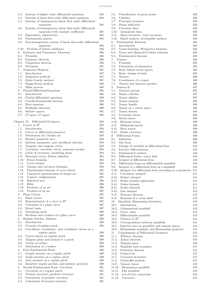N T E N T S ix

|                |                                                                                                | C O N      |
|----------------|------------------------------------------------------------------------------------------------|------------|
| 5.3.           | Systems of higher order differential equations                                                 | 384        |
| 5.4.           | Systems of linear first-order differential equations                                           | 384        |
| 5.5.           | Systems of homogeneous linear first order differential<br>equations                            | 384        |
| 5.6.           | Systems of homogeneous linear first-order differential<br>equations with constant coefficients | 385        |
| 5.7.           | Eigenvalues, eigenvectors                                                                      | 385        |
| 5.8.           | Fundamental matrix                                                                             | 385        |
| 5.9.           | Non-homogeneous system of linear first-order differential<br>equations                         | 386        |
|                | 5.10. Problem of initial conditions                                                            | 386        |
| 6.             | Existence and Uniqueness Theorems                                                              | 386        |
|                | 6.1. Preamble                                                                                  | 386        |
|                | 6.2. Existence theorem                                                                         | 386<br>386 |
|                | 6.3. Uniqueness theorem<br>6.4. Extension                                                      | 387        |
|                | 7. Numerical Methods                                                                           | 387        |
|                | 7.1. Introduction                                                                              | 387        |
|                | 7.2. Numerical methods                                                                         | 387        |
|                | 7.3. Euler-Cauchy method                                                                       | 387<br>388 |
|                | 7.4. Runge-Kutta method<br>7.5. Milne process                                                  | 388        |
| 8.             | Partial Differential Equations                                                                 | 388        |
|                | 8.1. Introduction                                                                              | 388        |
|                | 8.2. Partial differential equations                                                            | 389        |
|                | 8.3. Cauchy-Kowalewska theorem                                                                 | 389<br>389 |
| 8.5.           | 8.4. Heat equation<br>Fredholm theorems                                                        | 390        |
| 8.6.           | Sobolev spaces                                                                                 | 391        |
|                | 8.7. L <sup>2</sup> -space, L <sup>p</sup> -space                                              | 392        |
| Chapter 19.    | Differential Geometry                                                                          | 392        |
|                | 1. Curves in $\mathbb{R}^3$                                                                    | 392        |
|                | 1.1. Introduction                                                                              | 392        |
| 1.2.           | Curves in differential geometry                                                                | 392        |
| 1.3.<br>1.4.   | Orientation of a Jordan arc<br>Regular geometric arcs                                          | 393<br>393 |
| 1.5.           | Intrinsic parameter, and curvilinear abscissa                                                  | 393        |
| 1.6.           | Tangent, unit tangent vector                                                                   | 393        |
| 1.7.           | Curvature, curvature vector, principal normal                                                  | 394        |
| 1.8.<br>1.9.   | Circle of curvature, osculating plane<br>Binormal vector, Frénet trihedral                     | 394<br>394 |
|                | 1.10. Frénet formulas                                                                          | 394        |
| 1.11.          | Curve torsion                                                                                  | 394        |
| 1.12.          | Torsion and curvature formulas                                                                 | 395        |
| 1.13.          | Fundamental theorem of curve theory                                                            | 395        |
| 1.14.<br>1.15. | Canonical representation of simple arc<br>Contact configurations                               | 395<br>395 |
|                | 1.16. Spherical arcs                                                                           | 396        |
|                | 1.17. Helix                                                                                    | 396        |
|                | 1.18. Involutes of an arc                                                                      | 396        |
|                | 1.19. Evolutes of an arc<br>2. Plane Curves                                                    | 397<br>397 |
| 2.1.           | Plane curves                                                                                   | 397        |
| 2.2.           | Representation of a curve in $\mathbb{R}^2$                                                    | 397        |
| 2.3.           | Curvature of a plane curve                                                                     | 397        |
| 2.4.           | Frénet basis                                                                                   | 397        |
| 2.5.           | Osculating circle                                                                              | 398        |
| 3.             | 2.6. Involutes and evolutes of a plane curve<br>Regular Patches, Surfaces                      | 398<br>398 |
|                | 3.1. Introduction                                                                              | 398        |
| 3.2.           | Concept of regular patch                                                                       | 398        |
| 3.3.           | Curvilinear coordinates, and coordinate curves on a                                            |            |
| 3.4.           | regular patch<br>Curves drawn on regular patch                                                 | 398<br>399 |
| 3.5.           | Tangent plane and normal to a patch                                                            | 399        |
| 3.6.           | Notion of surface                                                                              | 399        |
| 3.7.           | Orientation of a surface                                                                       | 399        |
| 4.             | First Fundamental Form                                                                         | 400        |
| 4.1.<br>4.2.   | Length measure on a regular patch<br>Angle measure on a regular patch                          | 400<br>400 |
| 4.3.           | Area measure on a regular patch                                                                | 400        |
| 4.4.           | Isometric regular patches, and intrinsic geometry                                              | 400        |
| 5.             | Second Fundamental Form, Curvature                                                             | 401        |
| 5.1.           | Curvature of a regular patch                                                                   | 401        |
| 5.2.           | Normal curvature, geodesic curvature<br>5.3. Calculation of geodesic curvature                 | 401<br>401 |
|                | 5.4. Calculation of normal curvature                                                           | 401        |
|                |                                                                                                |            |

| 5.5.   | Classification of patch points                               | 402 |
|--------|--------------------------------------------------------------|-----|
| 5.6.   | Umbilics                                                     | 402 |
| 5.7.   | Principal curvature                                          | 403 |
| 5.8.   | Dupin indicatrix                                             | 403 |
| 5.9.   | Curvature lines                                              | 403 |
|        | 5.10. Asymptotic lines                                       | 403 |
|        | 5.11. Mean curvature, total curvature                        | 403 |
|        | 5.12. Ruled surfaces, developable surfaces                   | 404 |
| 6.     | Fundamental Theorem                                          | 404 |
| 6.1.   | Introduction                                                 | 404 |
| 6.2.   |                                                              |     |
|        | Gauss formulas, Weingarten formulas                          | 404 |
| 6.3.   | Gauss and Mainardi-Codazzi relations                         | 405 |
| 6.4.   | Fundamental theorem                                          | 405 |
| 7.     | Tensors                                                      | 405 |
| 7.1.   | Preamble                                                     | 405 |
| 7.2.   | Convention of summation                                      | 405 |
| 7.3.   | Dual, bidual vector spaces                                   | 405 |
| 7.4.   | Basis, change of basis                                       | 405 |
|        |                                                              |     |
| 7.5.   | Tensors                                                      | 406 |
| 7.6.   | Coordinates of a tensor                                      | 406 |
| 7.7.   | Tensors and injective patches                                | 406 |
| 8.     | Tensors II                                                   | 407 |
| 8.1.   | General concept                                              | 407 |
| 8.2.   | Tensor calculus                                              | 407 |
| 8.3.   | Tensor algebra                                               | 407 |
|        |                                                              |     |
| 8.4.   | Tensor analysis                                              | 408 |
| 8.5.   | Tensor bundle                                                | 408 |
| 8.6.   | Tensor on a vector space                                     | 408 |
| 8.7.   | Tensor density                                               | 408 |
| 8.8.   | Covariant tensor                                             | 408 |
| 8.9.   | Metric tensor                                                | 408 |
|        | 8.10. Riemann tensor                                         | 409 |
|        | 8.11. Minkowski metric                                       |     |
|        |                                                              | 409 |
|        | 8.12. Ricci tensor                                           | 409 |
| 8.13.  | Scalar curvature                                             | 409 |
|        | 9. Differential Forms                                        | 409 |
| 9.1.   | Definition                                                   | 409 |
| 9.2.   | One-form                                                     | 409 |
| 9.3.   | Change of variables in differential form                     | 410 |
| 9.4.   | Exterior differentiation                                     | 410 |
|        |                                                              |     |
| 9.5.   | Fundamental relation                                         | 410 |
| 9.6.   | Differential forms, vector field                             | 410 |
| 9.7.   | Integral of differential form                                | 410 |
| 9.8.   | Differential forms on differentiable manifold                | 410 |
| 9.9.   | Integral of a differential form on a manifold                | 410 |
| 9.10.  | Integral of a differential form according to a parameter 411 |     |
| 9.11.  | Curvilinear integral                                         | 411 |
| 9.12.  | Surface integral                                             | 411 |
|        |                                                              |     |
| 9.13.  | Stokes formula application                                   | 411 |
| 9.14.  | Stokes formula                                               | 411 |
| 9.15.  | Stokes theorem                                               | 411 |
| 9.16.  | Line integral                                                | 412 |
| 9.17.  | Poincaré theorem                                             | 412 |
| 9.18.  | Rotation of a vector field                                   | 413 |
| 10.    | Manifolds, Riemannian Geometry                               | 413 |
| 10.1.  | Introduction                                                 | 413 |
| 10.2.  | 2-dimensional manifold                                       | 413 |
|        |                                                              |     |
| 10.3.  | Chart, atlas                                                 | 413 |
| 10.4.  | Differentiable manifold                                      | 414 |
| 10.5.  | Surfaces in $\mathbb{R}^3$                                   | 414 |
| 10.6.  | Correspondence between manifolds                             | 414 |
| 10.7.  | Injective arcs on manifold, and tangent spaces               | 414 |
| 10.8.  | Riemannian manifold, and Riemannian geometry                 | 415 |
| 11.    | Complements of Differential Geometry                         | 415 |
|        |                                                              |     |
| 11.1.  | Whitney theorem                                              | 415 |
| 11.2.  | Takens theorem                                               | 416 |
| 11.3.  | Tangent space                                                | 416 |
| 11.4.  | Manifold with boundary                                       | 417 |
| 11.5.  | Frobenius theorem                                            | 417 |
| 11.6.  | Connection                                                   | 417 |
| 11.7.  | Covariant derivative                                         | 417 |
| 11.8.  | Christoffel symbols                                          | 417 |
| 11.9.  | Torsion tensor                                               |     |
|        |                                                              | 418 |
| 11.10. | Riemannian manifold                                          | 418 |
| 11.11. | Flat manifold                                                | 418 |
| 11.12. | Levi-Civita connection                                       | 418 |
| 11.13. | Curvature                                                    | 418 |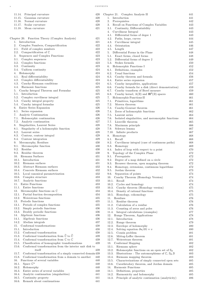| 11.14. | Principal curvature                                                            | 420 | Chapter 21 |                      |
|--------|--------------------------------------------------------------------------------|-----|------------|----------------------|
| 11.15. | Gaussian curvature                                                             | 420 | 1.         | $_{\rm Int}$         |
| 11.16. | Normal curvature                                                               | 420 | 2.         | Prei                 |
| 11.17. | Scalar curvature                                                               | 420 | 3.         | Reca                 |
| 11.18. | Mean curvature                                                                 | 421 | 3.1.       | $\rm{C}$             |
|        |                                                                                |     | 4.         | $_{\rm Cur}$         |
|        |                                                                                |     | 4.1.       | Di                   |
|        | Chapter 20. Function Theory (Complex Analysis)                                 | 421 | 4.2.       | Pa                   |
| 1.     | Introduction                                                                   | 421 | 4.3.       | $C_{1}$              |
| 2.     | Complex Numbers, Compactification                                              | 422 | 4.4.       | Oı                   |
| 2.1.   | Field of complex numbers                                                       | 422 | 4.5.       | Le                   |
| 2.2.   | Compactification of $\mathbb C$                                                | 422 | 5.         | Diff <sub>6</sub>    |
| 3.     | Sequences and Complex Functions                                                | 423 | 5.1.       | Eх                   |
| 3.1.   | Complex sequences                                                              | 423 | 5.2.       | Di                   |
| 3.2.   | Complex functions                                                              | 423 |            |                      |
|        |                                                                                |     | 5.3.       | St                   |
| 3.3.   | Continuity                                                                     | 423 |            | 6. Hold              |
| 3.4.   | Uniform continuity                                                             | 424 | 6.1.       | $\mathrm{D}\epsilon$ |
| 4.     | Holomorphy                                                                     | 424 | 6.2.       | Us                   |
| 4.1.   | Real differentiability                                                         | 424 | 6.3.       | $C\varepsilon$       |
| 4.2.   | Complex differentiability                                                      | 424 | 6.4.       | Er                   |
| 4.3.   | Cauchy-Riemann conditions                                                      | 424 | 6.5.       | $C\varepsilon$       |
| 4.4.   | Harmonic functions                                                             | 425 | 6.6.       | $C\varepsilon$       |
| 5.     | Cauchy Integral Theorem and Formulas                                           | 425 | 6.7.       | $C_{\epsilon}$       |
| 5.1.   | Introduction                                                                   | 425 | 6.8.       | $C_{\epsilon}$       |
| 5.2.   | Complex curvilinear integral                                                   | 425 | 7.         | Hold                 |
| 5.3.   | Cauchy integral property                                                       | 425 | 7.1.       | Pr                   |
| 5.4.   | Cauchy integral formulas                                                       | 425 | 7.2.       | M                    |
| 6.     | Entire Series Expansion                                                        | 426 | 73.        | $C\varepsilon$       |
| 6.1.   | Series expansion                                                               | 426 | 7.4.       | Ζe                   |
| 7.     | Analytic Continuation                                                          | 426 | 7.5.       | La                   |
| 7.1.   | Holomorphic continuation                                                       | 426 | 7.6.       | Isc                  |
| 7.2.   | Analytic continuation                                                          | 427 | 7.7.       | Li                   |
| 8.     | Singularities, Laurent Series                                                  | 428 | 7.8.       | M:                   |
| 8.1.   | Singularity of a holomorphic function                                          | 428 | 7.9.       | $_{\rm Sc}$          |
| 8.2.   |                                                                                |     |            |                      |
|        | Laurent series                                                                 | 428 |            | $7.10.$ I            |
| 8.3.   | Contour, contour integral                                                      | 429 | 8.         | Hon                  |
| 8.4.   | Contour integration                                                            | 429 | 8.1.       | Re                   |
| 9.     | Meromorphy, Residues                                                           | 430 | 8.2.       | Cι                   |
| 9.1.   | Meromorphic function                                                           | 430 | 8.3.       | H <sub>c</sub>       |
| 9.2.   | Residue                                                                        | 430 | 8.4.       | In                   |
| 9.3.   | Residue theorem                                                                | 430 | 9.         | Top                  |
| 10.    | Riemann Surfaces                                                               | 431 | 9.1.       | Pr                   |
|        | 10.1. Introduction                                                             | 431 | 9.2.       | $\mathrm{D}\epsilon$ |
| 10.2.  | Riemann surfaces                                                               | 431 | 9.3.       | Br                   |
| 10.3.  | Abstract Riemann surfaces                                                      | 432 | 9.4.       | H                    |
| 10.4.  | Concrete Riemann surfaces                                                      | 432 | 9.5.       | Jo                   |
| 10.5.  | Local canonical parametrization                                                | 432 | 9.6.       | Se                   |
| 10.6.  | Complex structure                                                              | 433 | 10.        | Ca                   |
| 10.7.  | Analytic functions                                                             | 433 | 10.1.      | R                    |
| 11.    | <b>Entire Functions</b>                                                        | 433 | 10.2.      | C                    |
|        | 11.1. Entire functions                                                         | 433 | 10.3.      | C                    |
| 12.    | Meromorphic functions on $\mathbb C$                                           | 434 | 10.4.      | Г                    |
| 12.1.  | Partial fraction decomposition                                                 | 434 | 10.5.      | Η                    |
| 12.2.  | Weierstrass functions                                                          | 435 |            | $11.$ Res            |
| 13.    | Periodic functions                                                             | 435 | 11.1.      | R                    |
| 13.1.  | Periods of complex functions                                                   | 435 | 11.2.      | C                    |
| 13.2.  | Simply periodic functions                                                      | 436 |            |                      |
|        |                                                                                |     | 11.3.      | C                    |
| 13.3.  | Doubly periodic functions                                                      | 436 | 11.4.      | Ŀ                    |
| 14.    | Algebraic functions                                                            | 436 | 12.        | Ru                   |
| 14.1.  | Algebraic functions                                                            | 436 | 12.1.      | Ŀ                    |
| 14.2.  | Abelian integrals                                                              | 437 | 12.2.      | R                    |
| 15.    | Conformal transformations                                                      | 438 | 12.3.      | F                    |
| 15.1.  | Introduction                                                                   | 438 | 12.4.      | S                    |
| 15.2.  | Conformal transformation                                                       | 438 | 12.5.      | C                    |
| 15.3.  | Conformal transformation from $\widehat{\mathbb{C}}$ to $\widehat{\mathbb{C}}$ | 439 | 12.6.      | Λ                    |
| 15.4.  | Conformal transformation from $\mathbb C$ to $\mathbb C$                       | 439 | 12.7.      | V                    |
| 15.5.  | Classification of homographic transformations                                  | 439 |            | 13. Co.              |
| 15.6.  | Conformal transformation from the interior unit disk to                        |     | 13.1.      | R                    |
|        | itself                                                                         | 439 | 13.2.      | Η                    |
| 15.7.  | Conformal transformation of a simply connected domain 439                      |     | 13.3.      | Π                    |
| 15.8.  | Conformal transformation from a domain to another                              | 440 | 13.4.      | R                    |
| 16.    | Functions of several variables                                                 | 440 | 13.5.      | C                    |
| 16.1.  | Space $\mathbb{C}^n$                                                           | 440 | 13.6.      | C                    |
| 16.2.  | Holomorphy                                                                     | 440 | 14.        | Ha                   |
| 16.3.  | Entire series of several variables                                             | 440 | 14.1.      | $\Gamma$             |
| 16.4.  | Analytic continuation (singularities)                                          | 441 | 14.2.      | Η                    |
| 16.5.  | Continuity property                                                            | 441 | 14.3.      | P                    |
|        |                                                                                |     |            |                      |
| 16.6.  | Remark about continuations                                                     | 441 |            |                      |

| napter 21. Complex Analysis II                                                                      | 441        |
|-----------------------------------------------------------------------------------------------------|------------|
| 1.<br>Introduction                                                                                  | 441        |
| $\overline{2}$ .<br>Prerequisites                                                                   | 442        |
| 3.<br>Recall on Functions of Complex Variables                                                      | 443        |
| 3.1.<br>Continuity, Differentiability                                                               | 443        |
| 4.<br>Curvilinear Integral                                                                          | 443        |
| 4.1. Differential forms of degee 1                                                                  | 443        |
| 4.2. Paths, loops, curves                                                                           | 444        |
| 4.3. Curvilinear integral                                                                           | 445        |
| 4.4.<br>Orientation                                                                                 | 446        |
| 4.5. Length                                                                                         | 447        |
| 5. Differential Forms in the Plane                                                                  | 448        |
| 5.1. Exact forms, closed forms<br>5.2. Differential forms of degree 2                               | 448<br>449 |
| 5.3.<br>Stokes formula                                                                              | 450        |
| 6.<br>Holomorphic Functions I                                                                       | 452        |
| 6.1. Definitions, examples                                                                          | 452        |
| 6.2.<br>Usual functions                                                                             | 454        |
| 6.3.<br>Cauchy theorem and formula                                                                  | 456        |
| 6.4. Entire series expansion                                                                        | 457        |
| 6.5.<br>Cauchy inequalities, applications                                                           | 457        |
| 6.6.<br>Cauchy formula for a disk (direct demonstration)                                            | 459        |
| 6.7.<br>Cauchy transform of Borel measure                                                           | 459        |
| Cauchy kernel, $A(\mathbb{D})$ and $\mathbf{H}^2(\mathbb{D})$ spaces<br>6.8.                        | 460        |
| 7.<br>Holomorphic Functions II                                                                      | 461        |
| 7.1.<br>Primitives, logarithms                                                                      | 461        |
| 7.2.<br>Morera theorem                                                                              | 461        |
| 7.3.<br>Cauchy-Goursat theorem                                                                      | 461        |
| 7.4.<br>Zeros of holomorphic functions                                                              | 462        |
| 7.5. Laurent series                                                                                 | 464        |
| 7.6. Isolated singularities, and meromorphic functions                                              | 464        |
| 7.7. Liouville theorem                                                                              | 465        |
| 7.8. Maximum principle                                                                              | 466        |
| 7.9.<br>Schwarz lemma                                                                               | 467        |
| 7.10. Infinite products                                                                             | 467        |
| 8.<br>Homotopy                                                                                      | 468        |
| 8.1. Recall                                                                                         | 468        |
| 8.2.<br>Curvilinear integral (case of continuous paths)                                             | 468        |
| 8.3. Homotopy                                                                                       | 469        |
| 8.4.<br>Index of loop with respect to a point                                                       | 470        |
| 9.<br>Topology of the Complex Plane                                                                 | 472        |
| 9.1.<br>Prerequisite                                                                                | 472        |
| 9.2.<br>Degree of a map defined on a circle                                                         | 472        |
| 9.3.<br>Brouwer theorem, open mapping theorem                                                       | 472        |
| Homotopy, extensions, continuous logarithms<br>9.4.                                                 | 472        |
| 9.5.<br>Jordan theorem                                                                              | 473        |
| 9.6.<br>Separation of points<br>10.                                                                 | 474<br>474 |
| Cauchy Theorem (Homology Version)<br>10.1.<br>Recall                                                | 474        |
| 10.2.<br>Cycles and homology                                                                        | 474        |
| 10.3. Cauchy theorem (Homology version)                                                             | 475        |
| 10.4.<br>Density of rational functions                                                              | 475        |
| 10.5.<br>Homology, cohomology                                                                       | 475        |
| 11.<br>Residues                                                                                     | 476        |
| 11.1.<br>Residue theorem                                                                            | 476        |
| Calculation of a residue<br>11.2.                                                                   | 476        |
| 11.3. Counting of zeros and poles                                                                   | 476        |
| 11.4.<br>Integral calculations (examples)                                                           | 477        |
| 12.<br>Runge Theorem, Applications                                                                  | 478        |
| 12.1.<br>Introduction                                                                               | 478        |
| 12.2.<br>Runge theorem                                                                              | 479        |
| 12.3.<br>Envelope of holomorphy                                                                     | 480        |
| 12.4.<br>Solving equation $\partial u/\partial \bar{z} = v$                                         | 480        |
| 12.5. Cousin problem                                                                                | 481        |
| 12.6.<br>Mittag-Leffer theorem                                                                      | 481        |
| 12.7.<br>Weierstrass theorem                                                                        | 481        |
| 13. Conformal Mapping                                                                               | 482        |
| 13.1.<br>Riemann sphere                                                                             | 482        |
| 13.2.<br>Holomorphic functions on an open set of $\mathbb{S}_2$                                     | 482        |
| 13.3.<br>Illustrations : The automorphisms of $\mathbb{C}, \mathbb{S}_2, \mathbb{D}$                | 483        |
| 13.4.<br>Riemann mapping theorem                                                                    | 483        |
| 13.5.<br>Characterizations of simply connected open sets<br>Carathéodory theorem, and Jordan domain | 485        |
| 13.6.<br>14.<br>Harmonic Functions                                                                  | 485<br>485 |
| 14.1.<br>Definitions, properties                                                                    | 485        |
| 14.2.<br>Harmonicity and holomorphy                                                                 | 485        |
| Principle of analytic continuation (analyticity)<br>14.3.                                           | 486        |
|                                                                                                     |            |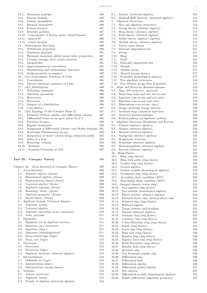| Maximum principle<br>14.4.                                            | 486        |
|-----------------------------------------------------------------------|------------|
| Poisson formula<br>14.5.                                              | 486        |
| 14.6. Cauchy inequalities<br>14.7. Harnack inequalities               | 486<br>486 |
| 14.8. Poisson integral                                                | 487        |
| 14.9. Dirichlet problem                                               | 487        |
| 14.10. Convergence of Fourier series (Abel-Poisson)                   | 487        |
| 14.11. Spaces $h^p$                                                   | 488        |
| Green formula<br>14.12.                                               | 489        |
| Subharmonic Functions<br>15.                                          | 490        |
| 15.1.<br>Definitions, properties                                      | 490        |
| 15.2. Maximum principle                                               | 491        |
| 15.3.<br>Harmonic majorant, global mean value (properties)            | 491        |
| 15.4.<br>Circular average, three circles theorem                      | 491        |
| 15.5. Integrability                                                   | 491        |
| 15.6. Approximation by convolution                                    | 491        |
| 15.7. Distributions and subharmonic functions                         | 492        |
| 15.8. Subharmonicity (examples)                                       | 492        |
| (A1) Convolution, Partition of Unity<br>16.<br>16.1.<br>Convolution   | 495<br>495 |
| 16.2.<br>Plateau functions, partition of Unity                        | 495        |
| 17. (A2) Distributions                                                | 496        |
| 17.1. Definition, examples                                            | 496        |
| 17.2. Algebraic operations                                            | 496        |
| 17.3. Restriction                                                     | 496        |
| 17.4. Derivation                                                      | 496        |
| 17.5. Support of a distribution                                       | 496        |
| 17.6. Convolution                                                     | 497        |
| 18. (A3) Topology of the Complex Plane II                             | 497        |
| 18.1. Elements of linear algebra and differential calculus            | 497        |
| 18.2.<br>Differential forms on an open subset $\Omega$ of $\mathbb C$ | 498        |
| 18.3. Partition of unity                                              | 499        |
| 18.4.<br>Regular boundaries                                           | 500        |
| Integration of differential 2-forms (and Stokes formula) 501<br>18.5. |            |
| 18.6.<br>Homotopy (Fundamental group)                                 | 502        |
| 18.7.<br>Integration of closed 1-forms along continuous paths         | 503<br>504 |
| 18.8.<br>Index of a loop<br>18.9. Homology, $i$ -chains               | 504        |
| 18.10. Residues                                                       | 506        |
| 18.11. Symbols/Notations of (A3)                                      | 507        |
|                                                                       |            |
| Part IX. Category Theory                                              | 509        |
| Chapter 22.<br>Areas Involved in Category Theory                      | 509        |
| Areas Involved<br>1.                                                  | 509        |
| Abstract algebra (Areas)<br>1.1.                                      | 509        |
| 1.2.<br>Homological algebra (Areas)                                   | 509        |
| 1.3.<br>Representation theory (Areas)                                 | 509        |
| 1.4.<br>Universal algebra (Areas)                                     | 509        |
| 1.5.<br>Algebraic topology (Areas)                                    | 509        |
| 1.6.<br>Homology theory (Areas)                                       | 509        |
| 1.7.<br>Algebraic geometry (Areas)                                    | 509        |
| Model theory (Areas)<br>1.8.<br>Algebraic System, Universal Algebra   | 509        |
| 2.<br>2.1.                                                            | 510<br>510 |
| Algebraic system<br>2.2.<br>Universal algebra                         | 510        |
| 2.3.<br>Algebraic operation $(n$ -ary operation)                      | 510        |
| 2.4.<br>Arity, polyadic                                               | 511        |
| 3.<br>Signatures                                                      | 511        |
| 3.1.<br>Signature (of an algebraic system)                            | 511        |
| 3.2.<br>Signature (of a structure)                                    | 511        |
| 3.3.<br>Signature (logic)                                             | 511        |
| 3.4.<br>Signature (disambiguation)                                    | 511        |
| 3.5.<br>Many-sorted logic (logic)                                     | 512        |
| Type, sort (logic)<br>3.6.                                            | 512        |

| 4. Structures   | 512 |
|-----------------|-----|
| 4.1. Structures | 512 |

- 4.2. Structures (logic) 512
- 4.3. Algebraic structure (abstract algebra) 512
- 5. Interpretations 512
- 5.1. Definable set (logic) 512
- 5.2. Interpretation (logic) 513
- 5.3. Interpretation (model theory) 513
- 6. Varieties 513
- 6.1. Variety (overview) 513
- 6.2. Algebraic variety 513
- 6.3. Variety of algebras (universal algebra) 513

| 6.4.<br>Variety (universal algebra)                                                   | 513        |
|---------------------------------------------------------------------------------------|------------|
| 6.5.<br>Birkhoff HSP theorem (universal algebra)                                      | 514        |
| 7.<br>Algebraic Structures                                                            | 514        |
| 7.1.<br>Sets and algebraic structures                                                 | 514        |
| 7.2.<br>Group theory (abstract algebra)                                               | 514        |
| 7.3.<br>Ring theory (abstract algebra)                                                | 514<br>514 |
| 7.4.<br>Field theory (abstract algebra)<br>7.5.<br>Galois theory (abstract algebra)   | 514        |
| 7.6.<br>Module theory (abstract algebra)                                              | 514        |
| 7.7.<br>Vector space theory                                                           | 514        |
| 7.8.<br>Internal composition law                                                      | 515        |
| 7.9.<br>Group                                                                         | 515        |
| 7.10.<br>Ring                                                                         | 516        |
| 7.11.<br>Field                                                                        | 516        |
| 7.12.<br>External composition law                                                     | 516        |
| 7.13.<br>Module                                                                       | 517        |
| 7.14.<br>Abelian group                                                                | 517        |
| 7.15.<br>Monoid (group theory)                                                        | 517        |
| 7.16.<br>R-module (homological algebra)                                               | 517        |
| 7.17.<br>Free algebraic structures                                                    | 518        |
| 7.18.<br>Free Abelian group (free Z-module)                                           | 519        |
| 8.<br>Maps and Structure Homomorphisms                                                | 519        |
| 8.1.<br>Map (left surjective, univocal)                                               | 519        |
| 8.2.<br>Surjection (onto and not one-to-one)                                          | 519        |
| 8.3.<br>Injection (one-to-one and not onto)                                           | 519        |
| 8.4.<br>Bijection (one-to-one and onto)                                               | 519        |
| 8.5.<br>Illustrations (one-to-one, onto)                                              | 520        |
| 8.6.<br>Image, preimage (image inverse)                                               | 520        |
| 8.7.<br>Inclusion map (canonical injection)                                           | 520        |
| 8.8.<br>Structure homomorphisms                                                       | 520        |
| 8.9.<br>Endomorphism (of algebraic system)                                            | 520        |
| 9.<br>Algebraic Structure Morphisms and Kernels<br>9.1.<br>Closure (abstract algebra) | 520<br>520 |
| 9.2.<br>Magma (abstract algebra)                                                      | 520        |
| 9.3.<br>Monoid (abstract algebra)                                                     | $520\,$    |
| 9.4.<br>Semigroup (abstract algebra)                                                  | 520        |
| 9.5.<br>R-algebraic structure                                                         | 521        |
| 9.6.<br>R-module (abstract algebra)                                                   | 521        |
| 9.7.<br>Homomorphisms (abstract algebra)                                              | 521        |
| 9.8.<br>Kernels (abstract algebra)                                                    | 521        |
| 10.<br>Ring Theory                                                                    | 522        |
| 10.1.<br>Ring (ring theory)                                                           | 522        |
| 10.2.<br>Ring with unity (ring theory)                                                | 522        |
| 10.3.<br>Graded ring (ring theory)                                                    | 522        |
| 10.4.<br>Graded algebra                                                               | 523        |
| Graded module (homological algebra)<br>10.5.                                          | 523        |
| 10.6.<br>Noetherian ring (ring theory)                                                | 523        |
| 10.7.<br>Ascending chain condition (ACC)                                              | 523        |
| Descending chain condition (DCC)<br>10.8.                                             | 523        |
| Integral domain (entire ring)<br>10.9.                                                | 523        |
| 10.10.<br>Free algebra (ring theory)                                                  | 523        |
| 10.11.<br>Free module (homological algebra)                                           | 524        |
| Direct product (abstract algebra)<br>10.12.                                           | 524        |
| 10.13.<br>External direct sum, internal direct sum                                    | 524        |
| 10.14.<br>Reduced ring (ring theory)                                                  | 525        |
| 10.15.<br>Reduced algebra<br>10.16.<br>Tensor powers, and braiding                    | 525<br>525 |
| 10.17.<br>Operad (abstract algebra)                                                   | 525        |
| 10.18.<br>Artinian ring (ring theory)                                                 | 525        |
| 10.19.<br>Catenary ring (ring theory)                                                 | 525        |
| 10.20.<br>Cohen-Macaulay ring (ring theory)                                           | 525        |
| 10.21.<br>Depth (ring theory)                                                         | 525        |
| 10.22.<br>Local ring (ring theory)                                                    | 526        |
| 10.23.<br>Ring unit (ring theory)                                                     | 526        |
| 10.24.<br>Regular ring (ring theory)                                                  | 526        |
| 10.25.<br>Regular local ring (ring theory)                                            | 526        |
| 10.26.<br>Krull dimension (ring theory)                                               | 526        |
| 10.27.<br>Residue field (ring theory)                                                 | 526        |
| 10.28.<br>Quotient ring                                                               | 526        |
| 10.29.<br>Von Neumann regular ring                                                    | 526        |
| Differential ring<br>10.30.                                                           | 526        |
| Differential field<br>10.31.                                                          | 526        |
| 10.32.<br>Differential algebra                                                        | 526        |
| 10.33.<br>Differential graded algebra                                                 | 527        |
| Ritt algebra<br>10.34.                                                                | 527        |
| 10.35.<br>Differential module (homological algebra)                                   | 527        |
| Kähler differential (algebraic geometry)<br>10.36.                                    | 527        |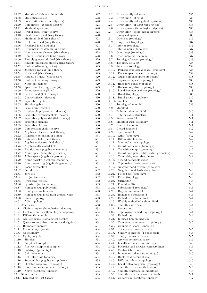| 10.37. | Module of Kähler differentials           | 527 |
|--------|------------------------------------------|-----|
| 10.38. | Multiplicative set                       | 528 |
| 10.39. | Localization (abstract algebra)          | 528 |
|        |                                          |     |
| 10.40. | Completion (abstract algebra)            | 528 |
| 10.41. | Maximal spectrum                         | 528 |
| 10.42. | Proper ideal (ring theory)               | 528 |
| 10.43. | Ideal, prime ideal (ring theory)         | 528 |
| 10.44. | Maximal ideal (ring theory)              | 528 |
| 10.45. | Irrelevant ideal (ring theory)           | 528 |
| 10.46. | Principal ideal and ring                 | 528 |
|        |                                          |     |
| 10.47. | Principal ideal domain and ring          | 528 |
| 10.48. | Homogeneous element (ring theory)        | 528 |
| 10.49. | Homogeneous ideal (ring theory)          | 528 |
| 10.50. | Finitely generated ideal (ring theory)   | 529 |
| 10.51. | Finitely presented algebra (ring theory) | 529 |
| 10.52. | Radical (disambiguation)                 | 529 |
| 10.53. | Jacobson radical (ring theory)           | 529 |
|        |                                          |     |
| 10.54. | Nilradical (ring theory)                 | 529 |
| 10.55. | Radical of ideal (ring theory)           | 529 |
| 10.56. | Radical ideal (ring theory)              | 529 |
| 10.57. | Nilpotent element                        | 529 |
| 10.58. | Spectrum of a ring $(Spec(R))$           | 529 |
| 10.59. | Prime spectrum (Spec)                    | 529 |
| 10.60. | Perfect field (field theory)             |     |
|        |                                          | 530 |
| 10.61. | Characteristic (algebra)                 | 530 |
| 10.62. | Separable algebra                        | 530 |
| 10.63. | Simple algebra                           | 530 |
| 10.64. | Semi-simple algebra                      | 530 |
| 10.65. | Irreducible polynomial (algebra)         | 530 |
| 10.66. | Separable extension (field theory)       | 530 |
|        |                                          |     |
| 10.67. | Separable polynomial (field theory)      | 530 |
| 10.68. | Separable element                        | 530 |
| 10.69. | Separable closure                        | 530 |
| 10.70. | Compositum (field theory)                | 530 |
| 10.71. | Algebraic element (field theory)         | 530 |
| 10.72. | Algebraic extension of a field           | 531 |
|        |                                          |     |
| 10.73. | Extension field (field theory)           | 531 |
| 10.74. | Algebraic closure (field theory)         | 531 |
| 10.75. | Algebraically closed field               | 531 |
| 10.76. | Regular map (algebraic geometry)         | 531 |
| 10.77. | Affine space (analytic geometry)         | 531 |
| 10.78. | Affine space (algebraic geometry)        | 531 |
| 10.79. | Affine variety (algebraic geometry)      | 531 |
|        | Coordinate ring (algebraic geometry)     |     |
| 10.80. |                                          | 531 |
| 10.81. | Locus (geometry)                         | 531 |
| 10.82. | Zero-locus                               | 532 |
| 10.83. | Zero set                                 | 532 |
| 10.84. | Projective space                         | 532 |
| 10.85. | Projective variety                       | 532 |
| 10.86. | Quasi-projective variety                 | 533 |
|        |                                          |     |
| 10.87. | Homogeneous polynomial                   | 533 |
| 10.88. | Homogeneous function                     | 533 |
| 10.89. | Homogeneous ideal (and graded ring)      | 533 |
| 10.90. | Linear topology                          | 533 |
| 10.91. | Adic topology                            | 533 |
| 11.    | Complexes                                | 533 |
| 11.1.  | Chain complex (homological algebra)      | 533 |
|        |                                          |     |
| 11.2.  | Cochain complex (homological algebra)    | 534 |
| 11.3.  | Differential complex                     | 534 |
| 11.4.  | Null sequence (homological algebra)      | 534 |
| 11.5.  | Quasi-isomorphism (homological algebra)  | 534 |
| 11.6.  | Boundary operator                        | 534 |
| 11.7.  | Coboundary operator                      | 534 |
| 11.8.  | Coboundary                               | 534 |
|        |                                          |     |
| 11.9.  | Cycle, cocycle                           | 534 |
| 11.10. | Simplex                                  | 534 |
| 11.11. | Simplicial complex                       | 534 |
| 11.12. | Abstract simplicial complex              | 534 |
| 11.13. | Polytope (geometry)                      | 534 |
| 11.14. | Cell (geometry)                          | 534 |
| 11.15. | Cell (algebraic topology)                | 534 |
|        |                                          |     |
| 11.16. | Subcomplex (algebraic topology)          | 535 |
| 11.17. | Skeleton (algebraic topology)            | 535 |
| 11.18. | CW-complex (algebraic topology)          | 535 |
| 11.19. | Nerve (algebraic topology)               | 535 |
| 12.    | Direct limits                            | 535 |
| 12.1.  | Directed set (set theory)                | 535 |
|        |                                          |     |

| 12.2.  | Direct family (of sets)                  | 535 |
|--------|------------------------------------------|-----|
| 12.3.  | Direct limit (of sets)                   | 535 |
| 12.4.  | Direct family (of algebraic systems)     | 536 |
| 12.5.  | Direct limit (of algebraic systems)      | 536 |
|        |                                          |     |
| 12.6.  | Direct system (homological algebra)      | 536 |
|        | 12.7. Direct limit (homological algebra) | 536 |
| 13.    | Topological spaces                       | 536 |
| 13.1.  | Open set (topology)                      | 536 |
| 13.2.  | Clopen set (topology)                    | 537 |
| 13.3.  | Interior (topology)                      | 537 |
| 13.4.  | Interior point (topology)                | 537 |
| 13.5.  | Open map (topology)                      | 537 |
| 13.6.  | Open mapping theorem                     | 537 |
| 13.7.  | Topological space (topology)             | 537 |
|        |                                          |     |
| 13.8.  | Topology on a set                        | 538 |
| 13.9.  | Subspace topology                        | 538 |
| 13.10. | Pointed topological space (topology)     | 538 |
| 13.11. | Paracompact space (topology)             | 538 |
|        | 13.12. Quasi-compact space (topology)    | 538 |
| 13.13. | Separated space (topology)               | 538 |
| 13.14. | Hausdorff space (topology)               | 538 |
| 13.15. | Homeomorphism (topology)                 | 538 |
|        |                                          | 538 |
|        | 13.16. Local homeomorphism (topology)    |     |
|        | 13.17. Braid (topology)                  | 539 |
|        | 13.18. Braid group (topology)            | 539 |
| 14.    | Manifolds                                | 539 |
|        | 14.1. Topological manifold               | 539 |
| 14.2.  | Manifold                                 | 540 |
| 14.3.  | Differentiable manifold                  | 540 |
| 14.4.  | Differentiable structure                 | 541 |
| 14.5.  | Smooth manifold                          | 541 |
|        |                                          |     |
| 14.6.  | Manifold with boundary                   | 541 |
| 14.7.  | Compact manifold                         | 541 |
| 14.8.  | Closed manifold                          | 542 |
| 14.9.  | Open manifold                            | 542 |
| 14.10. | Atlas (topology)                         | 542 |
|        | 14.11. Differentiable atlas              | 542 |
| 14.12. | Maximal atlas (topology)                 | 542 |
| 14.13. | Coordinate chart (topology)              | 542 |
| 14.14. | Transition map (topology)                | 542 |
|        |                                          |     |
| 14.15. | Coordinate patch (differential geometry) | 542 |
| 14.16. | Countable, separable, dense              | 542 |
| 14.17. | Second-countable space                   | 543 |
| 14.18. | Topological basis, local basis           | 543 |
| 14.19. | Neighborhood system (topology)           | 543 |
| 14.20. | Neighborhood basis (local basis)         | 543 |
| 14.21. | Filter base (topology)                   | 543 |
| 14.22. | Filter (topology)                        | 543 |
| 14.23. | Ultrafilter                              | 543 |
|        |                                          |     |
| 14.24. | Free ultrafilter                         | 543 |
| 14.25. | Submanifold (topology)                   | 543 |
| 14.26. | Regular submanifold                      | 544 |
| 14.27. | Immersed submanifold                     | 544 |
| 14.28. | Embedded submanifold                     | 544 |
| 14.29. | Weakly embedded submanifold              | 544 |
| 14.30. | Smoothly universal                       | 544 |
| 14.31. | Proper map                               | 544 |
| 14.32. | Topological embedding (topology)         | 544 |
| 14.33. | Embedding                                | 544 |
|        |                                          |     |
| 14.34. | Induced homomorphism                     | 545 |
| 14.35. | Connected component (topology)           | 545 |
| 14.36. | Connected space (topology)               | 545 |
| 14.37. | Totally disconnected space               | 545 |
| 14.38. | Simply connected (1-connected)           | 545 |
| 14.39. | Simply connected space                   | 545 |
| 14.40. | Arcwise-connected space                  | 545 |
| 14.41. | Locally arcwise-connected space          | 546 |
| 14.42. | Pathwise and arcwise connectedness       | 546 |
| 14.43. | Contractible loops                       | 546 |
|        |                                          |     |
| 14.44. | Immersion (algebraic topology)           | 546 |
| 14.45. | Rank (of differential map)               | 546 |
| 14.46. | Diffeomorphism (topology)                | 546 |
| 14.47. | Local diffeomorphism (topology)          | 546 |
| 14.48. | Smooth map (smooth function)             | 546 |
| 14.49. | Smooth functions on manifolds            | 546 |
| 14.50. | Smooth maps between manifolds            | 547 |
| 14.51. | Cobordism (algebraic topology)           | 547 |
|        |                                          |     |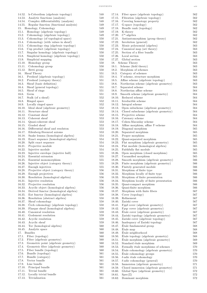| 14.52.           | h-Cobordism (algebraic topology)                              | 548        |
|------------------|---------------------------------------------------------------|------------|
| 14.53.           | Analytic functions (analysis)                                 | 548        |
| 14.54.           | Complex differentiability (analysis)                          | 548        |
| 14.55.           | Regular function (functional analysis)                        | 549        |
| 15.              | Homology, Cohomology                                          | 549        |
| 15.1.            | Homology (algebraic topology)                                 | 549        |
| 15.2.            | Cohomology (algebraic topology)                               | 549        |
| 15.3.            | Cohomology (of topological space)                             | 550        |
| 15.4.            | Cohomology (with values in sheaf)                             | 550        |
| 15.5.            | Cohomology ring (algebraic topology)                          | 550        |
| 15.6.            | Cup product (algebraic topology)                              | 550        |
| 15.7.            | Singular homology (algebraic topology)                        | 550        |
| 15.8.            | Simplicial homology (algebraic topology)                      | 550        |
| 15.9.            | Simplicial mapping                                            | 550        |
|                  | 15.10. Homology group                                         | 550        |
| 15.11.           | Cohomology group                                              | 550        |
| 15.12.           | Betti group                                                   | 550        |
| 16.              | Sheaf Theory                                                  | 551        |
| 16.1.            | Presheaf (algebraic topology)                                 | 551        |
| 16.2.            | Presheaf (category theory)                                    | 551        |
| 16.3.            | Sheaf (basic definition)                                      | 551        |
| 16.4.            | Sheaf (general topology)                                      | 551<br>551 |
| 16.5.<br>16.6.   | Sheaf of rings<br>Germ                                        |            |
| 16.7.            | Stalk (of a sheaf)                                            | 551<br>552 |
| 16.8.            | Ringed space                                                  | 552        |
| 16.9.            | Locally ringed space                                          | 552        |
| 16.10.           | Ideal sheaf (algebraic geometry)                              | 552        |
| 16.11.           | Structure sheaf                                               | 552        |
| 16.12.           | Constant sheaf                                                | 552        |
| 16.13.           | Coherent sheaf                                                | 553        |
| 16.14.           | Quasi-coherent sheaf                                          | $_{553}$   |
| 16.15.           | Graded sheaf                                                  | 553        |
| 16.16.           | Differential sheaf and resoluton                              | 553        |
| 16.17.           | Eilenberg-Steenrod axioms                                     | 553        |
| 16.18.           | Snake lemma (homological algebra)                             | 554        |
| 16.19.           | Exact sequence (homological algebra)                          | 554        |
| 16.20.           | Split exact sequence                                          | 554        |
| 16.21.           | Projective module                                             | 554        |
| 16.22.           | Injective module                                              | 554        |
| 16.23.           | Injective envelope (injective hull)                           | 555        |
| 16.24.           | Essential extension                                           | 555        |
| 16.25.           | Essential monomorphism                                        | 555        |
| 16.26.           | Injective object (category theory)                            | 555        |
| 16.27.           | Enough injectives                                             | 555        |
| 16.28.           | Projective object (category theory)                           | 556        |
| 16.29.           | Enough projectives                                            | 556        |
| 16.30.           | Resolution (homological algebra)                              | 556        |
| 16.31.<br>16.32. | Injective resolution                                          | 556<br>556 |
| 16.33.           | Projective resolution<br>Acyclic object (homological algebra) | 556        |
| 16.34.           | Derived functor (homological algebra)                         | 556        |
| 16.35.           | Ext functor (homological algebra)                             | 558        |
| 16.36.           | Resolution (abstract algebra)                                 | 558        |
| 16.37.           | Sheaf cohomology                                              | 558        |
| 16.38.           | Čech cohomology (algebraic topology)                          | 558        |
| 16.39.           | Flasque sheaf (homological algebra)                           | 559        |
| 16.40.           | Canonical resolution                                          | 559        |
| 16.41.           | Godement resolution                                           | 559        |
| 16.42.           | Acyclic resolution                                            | 559        |
| 16.43.           | Acyclic sheaf                                                 | 559        |
| 16.44.           | Tor (homological algebra)                                     | 560        |
| 16.45.           | Analytic space                                                | 560        |
| 17.              | <b>Bundles</b>                                                | 560        |
| 17.1.            | Fiber (topology)                                              | 560        |
| 17.2.            | Fiber (algebraic geometry)                                    | 560        |
| 17.3.            | Geometric point (algebraic geometry)                          | 560        |
| 17.4.            | Geometric fiber (algebraic geometry)                          | 560        |
| 17.5.            | Fiber bundle (topology)                                       | 560        |
| 17.6.            | Bundle (topology)                                             | 561        |
| 17.7.            | Bundle (category)                                             | 561        |
| 17.8.            | Vector bundle<br>Line bundle                                  | 561        |
| 17.9.<br>17.10.  | Principal bundle                                              | 561<br>561 |
| 17.11.           | Trivial bundle                                                | 561        |
| 17.12.           | Locally trivial bundle                                        | 561        |
| 17.13.           | Trivialization                                                | 561        |
|                  |                                                               |            |

| 17.14.           | Fiber space (algebraic topology)         | 562        |
|------------------|------------------------------------------|------------|
| 17.15.           | Fibration (algebraic topology)           | 562        |
| 17.16.           | Covering homotopy property               | 562        |
| 17.17.           | G-space (topology)                       | 562        |
| 17.18.           | Bundle rank (topology)                   | 562        |
| 17.19.           | K-theory                                 | 562        |
| 17.20.           | $C^*$ -algebra                           | 562        |
| 17.21.           | Antiautomorphism (group theory)          | 562        |
| 17.22.           | Involution (general)                     | 562        |
| 17.23.           | Monic polynomial (algebra)               | 563        |
| 17.24.           | Canonical map (set theory)               | 563        |
| 17.25.           | Section of a fiber bundle                | 563        |
| 17.26.           | Local section                            | 563        |
| 17.27.           | Global section                           | 563        |
| 18.              | Scheme Theory                            | 563        |
| 18.1.            | Scheme (field theory)                    | 563        |
| 18.2.            | Morphism of schemes                      | 563        |
| 18.3.            | Category of schemes                      | 563        |
| 18.4.            | Y-scheme, structure morphism             | 563        |
| 18.5.            | Affine scheme (algebraic topology)       | 563        |
| 18.6.            | Noetherian scheme (algebraic geometry)   | 563        |
| 18.7.            | Separated scheme                         | 564        |
| 18.8.            | Noetherian affine scheme                 | 564        |
| 18.9.            | Smooth scheme (algebraic geometry)       | 564        |
|                  | 18.10. Reduced scheme                    | 564        |
| 18.11.           | Irreducible scheme                       | 564        |
| 18.12.           | Integral scheme                          | 564<br>564 |
| 18.13.           | Open subscheme (algebraic geometry)      | 564        |
| 18.14.<br>18.15. | Closed subscheme (algebraic geometry)    | 564        |
|                  | Projective scheme                        | 564        |
| 18.16.<br>18.17. | Catenary scheme<br>Cohen-Macaulay scheme | 564        |
| 18.18.           | Affine morphism, affine Y-scheme         | 564        |
| 18.19.           | Diagonal morphism                        | 565        |
| 18.20.           | Separated morphism                       | 565        |
| 18.21.           | Proper morphism                          | 565        |
| 18.22.           | Quasi-separated morphism                 | 565        |
| 18.23.           | Flat morphism (algebraic geometry)       | 565        |
| 18.24.           | Flat module (homological algebra)        | 565        |
| 18.25.           | Faithfully flat module                   | 565        |
| 18.26.           | Open morphism (closed morphism)          | 565        |
| 18.27.           | Unramified morphism                      | 565        |
| 18.28.           | Smooth morphism (algebraic geometry)     | 566        |
| 18.29.           | Finite morphism (algebraic geometry)     | 566        |
| 18.30.           | Finitely generated module                | 566        |
| 18.31.           | Morphism of finite type                  | 566        |
| 18.32.           | Morphism locally of finite type          | 566        |
| 18.33.           | Morphism of finite presentation          | 566        |
| 18.34.           | Morphism locally of finite presentation  | 566        |
| 18.35.           | Quasi-compact morphism                   | 566        |
| 18.36.           | Quasi-finite morphism                    | 566        |
| 18.37.           | Morphism with finite fibers              | 567        |
| 18.38.           | Cover (topology)                         | 567        |
| 18.39.           | Refinement                               | 567        |
| 18.40.           | Zariski cover                            | 567        |
| 18.41.           | Fppf cover (algebraic geometry)          | 567        |
| 18.42.           | Fpqc cover (algebraic geometry)          | 567        |
| 18.43.           | Étale cover (algebraic geometry)         | 567        |
| 18.44.           | Zariski topology (algebraic geometry)    | 567        |
| 18.45.           | Zariski cover (algebraic topology)       | 567        |
| 18.46.           | Inadequacy of Zariski topology           | 567        |
| 18.47.           | Étale fundamental group                  | 568        |
| 18.48.           | Étale map                                | 568        |
| 18.49.           | Étale neighborhood                       | 568        |
| 18.50.           | Etale topology (algebraic geometry)      | 568        |
| 18.51.           | Étale morphism (algebraic geometry)      | 569        |
| 18.52.           | Standard étale morphism                  | 569        |
| 18.53.           | Formally étale morphisms of schemes      | 570        |
| 18.54.           | Étale cohomology (algebraic geometry)    | 570        |
| 18.55.           | Étale cohomology groups                  | 570        |
| 18.56.           | $\ell$ -adic étale cohomology            | 570        |
| 18.57.           | $\ell$ -adic cohomology (general)        | 570        |
| 18.58.           | Immersion (algebraic geometry)           | 571        |
| 18.59.           | Closed immersion (algebraic geometry)    | 571        |
| 18.60.           | Global Spec (algebraic geometry)         | 572        |
| 18.61.           | $Spec(\mathbb{Z})$                       | 572        |
| 18.62.           | Dominant morphism                        | 572        |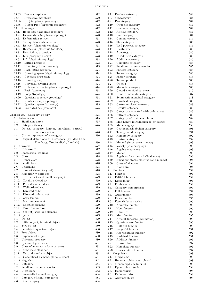| 18.63. Dense morphism                                    | 572     |
|----------------------------------------------------------|---------|
| 18.64. Projective morphism                               | 572     |
| 18.65. Proj (algebraic geometry)                         | 572     |
| Global Proj (algebraic geometry)<br>18.66.               | 572     |
| 19. Homotopy                                             | 572     |
| Homotopy (algebraic topology)<br>19.1.                   | 572     |
| Deformation (algebraic topology)<br>19.2.                | 573     |
| Deformation retract<br>19.3.                             | 573     |
| 19.4.<br>Strong deformation retract                      | 573     |
| Retract (algebraic topology)<br>19.5.                    | 573     |
| Retraction (algebraic topology)<br>19.6.                 | 573     |
| Restriction, extension<br>19.7.                          | 573     |
| Lift (category theory)                                   |         |
| 19.8.                                                    | 573     |
| Lift (algebraic topology)<br>19.9.                       | 573     |
| Lifting property<br>19.10.                               | 573     |
| 19.11.<br>Homotopy lifting property                      | 573     |
| 19.12.<br>Path lifting property                          | 574     |
| Covering space (algebraic topology)<br>19.13.            | 574     |
| 19.14.<br>Covering projection                            | 574     |
| 19.15.<br>Covering map                                   | 574     |
| 19.16.<br>Universal covering space                       | 574     |
| 19.17.<br>Universal cover (algebraic topology)           | 574     |
| 19.18.<br>Path (topology)                                | 574     |
|                                                          |         |
| Loop (topology)<br>19.19.                                | 574     |
| Quotient topology (topology)<br>19.20.                   | 574     |
| Quotient map (topology)<br>19.21.                        | 574     |
| Quotient space (topology)<br>19.22.                      | 575     |
| Saturated set (topology)<br>19.23.                       | 575     |
|                                                          |         |
| Chapter 23. Category Theory                              | 575     |
| Introduction<br>1.                                       | 575     |
| 1.1.<br>Significant dates                                | 575     |
| Category theory<br>1.2.                                  | 575     |
| Object, category, functor, morphism, natural<br>1.3.     |         |
| transformation                                           |         |
|                                                          | 576     |
| Current approach of a category<br>1.4.                   | 576     |
| Original definitions of a category (by Mac Lane,<br>1.5. |         |
| Eilenberg, Grothendieck, Lambek)                         | 576     |
| Universe<br>2.                                           | 577     |
| 2.1.<br>Universe U                                       | $577\,$ |
| Inaccessible cardinal<br>2.2.                            | 578     |
| 2.3.<br>Class                                            | 578     |
| Proper class<br>2.4.                                     | 578     |
| Small class<br>2.5.                                      | 578     |
| 2.6.<br>Urelement                                        | 578     |
| 2.7.                                                     |         |
| Pure set (hereditary set)                                | 578     |
| 2.8.<br>Hereditarily finite set                          | 578     |
| 2.9.<br>Preorder set (and small category)                | 579     |
| 2.10.<br>Totally ordered set                             | 579     |
| 2.11.<br>Partially ordered set                           | 579     |
| 2.12.<br>Well-ordered set                                | 579     |
| 2.13.<br>Directed order                                  | 579     |
| 2.14.<br>Directed ordered set                            | 579     |
| 2.15.<br>Zorn lemma                                      | 579     |
| Maximal element<br>2.16.                                 | 579     |
| Greatest element<br>2.17.                                | 579     |
| 2.18.<br>U-set, U-small set                              | 579     |
| 2.19.<br>Set {pt} with one element                       | 579     |
|                                                          |         |
| 3.<br>Objects                                            | 579     |
| 3.1.<br>Object                                           | 579     |
| 3.2.<br>Initial object, terminal object                  | 580     |
| 3.3.<br>Zero object                                      | 580     |
| 3.4.<br>Subobject, quotient object                       | 580     |
| 3.5.<br>Free object                                      | 580     |
| 3.6.<br>Exponential object                               | 580     |
| 3.7.<br>Universal property                               | 580     |
| 3.8.<br>System of generators                             | 581     |
| 3.9.<br>Class of generators for a category               | 581     |
| 3.10. Subobject classifier                               | 581     |
|                                                          |         |
| 3.11. Natural numbers object                             | 581     |
| 3.12.<br>Generalized element, global element             | 581     |
| 4.<br>Categories                                         | 581     |
| 4.1.<br>Category                                         | 581     |
| 4.2.<br>Small and large categories                       | 583     |
| 4.3.<br>U-category                                       | 583     |
| 4.4.<br>Essentially U-small category                     | 584     |
| Category of small categories<br>4.5.                     | 584     |
| 4.6.<br>Dual category                                    | 584     |
|                                                          |         |

| 4.7.<br>Product category<br>4.8. Subcategory   | 584 |
|------------------------------------------------|-----|
|                                                |     |
|                                                | 584 |
| 4.9.<br>Precategory                            | 584 |
| 4.10. Opposite category                        | 584 |
| 4.11. Concrete category                        | 584 |
| 4.12. Abelian category                         | 584 |
| 4.13. Pair category                            | 584 |
| 4.14. Comma category                           | 584 |
| 4.15. Slice category                           | 585 |
| 4.16.<br>Well-powered category                 | 585 |
| 4.17.<br>Bicategory                            | 585 |
| 4.18. Ab-category                              | 585 |
| Preadditive category<br>4.19.                  | 585 |
| 4.20.                                          |     |
| Additive category                              | 585 |
| 4.21. Complete category                        | 585 |
| 4.22.<br>Small and large categories            | 585 |
| 4.23.<br>Functor category                      | 586 |
| 4.24.<br>Tensor category                       | 586 |
| 4.25.<br>Factor through                        | 586 |
| 4.26.<br>Tensor product                        | 586 |
| 4.27. Operad                                   | 586 |
| 4.28.<br>Monoidal category                     | 586 |
| 4.29.                                          | 586 |
| Closed monoidal category                       |     |
| 4.30.<br>Braided monoidal category             | 587 |
| 4.31.<br>Symmetric monoidal category           | 588 |
| 4.32.<br>Enriched category                     | 588 |
| 4.33. Cartesian closed category                | 588 |
| 4.34.<br>Regular category                      | 588 |
| 4.35.<br>Category associated with ordered set  | 589 |
| 4.36. Filtrant category                        | 589 |
| 4.37.<br>Category of chain complexes           | 589 |
| 4.38.<br>Mac Lane's introduction to categories | 589 |
| 4.39.                                          |     |
| Metacategory                                   | 590 |
| 4.40.<br>Grothendieck abelian category         | 591 |
| 4.41.<br>Triangulated category                 | 591 |
| 4.42.<br>Homotopy category                     | 592 |
| 4.43.<br>Derived category                      | 592 |
| Monoid (in category theory)<br>4.44.           | 593 |
| 4.45.<br>Variety (in a category)               | 593 |
| Algebraic category<br>4.46.                    | 593 |
| 4.47.<br>Monad                                 | 593 |
| 4.48.<br>Algebras for a monad (T-algebra)      | 593 |
|                                                |     |
|                                                |     |
| 4.49.<br>Eilenberg-Moore algebras (of a monad) | 594 |
| 4.50.<br>Class of algebras                     | 594 |
| 4.51.<br>F-algebra                             | 594 |
| 5.<br>Functors                                 | 594 |
| 5.1.<br>Functor                                | 594 |
| 5.2.<br>Faithful functor                       | 594 |
|                                                | 594 |
| 5.3. Embedding                                 |     |
| 5.4.<br>Equivalence                            | 594 |
| 5.5.<br>Category isomorphism                   | 594 |
| Full functor<br>5.6.                           | 594 |
| 5.7.<br>Autofunctor                            | 595 |
| Exact functor<br>5.8.                          | 595 |
| 5.9.<br>Essentially surjective                 | 595 |
| Amnestic functor<br>5.10.                      | 595 |
| Hom functor<br>5.11.                           | 595 |
| 5.12.<br><b>Bifunctor</b>                      | 595 |
| 5.13. Multifunctor                             |     |
|                                                | 595 |
| 5.14.<br>Adjoint functors (adjunction)         | 595 |
| 5.15.<br>Quasi-inverse functor                 | 596 |
| 5.16.<br>Half-full functor                     | 596 |
| 5.17.<br>Forgetful functor                     | 597 |
| 5.18.<br>Representable functor                 | 597 |
| 5.19. Enriched functor                         | 597 |
| 5.20.<br>Additive functor                      | 597 |
| 5.21.<br>Derived functor                       | 597 |
| 5.22.<br>Homology functor                      | 597 |
| 5.23.<br>Conservative functor                  | 597 |
|                                                |     |
| 6.<br>Morphisms                                | 598 |
| 6.1.<br>Morphisms                              | 598 |
| 6.2.<br>Homomorphism (morphism)                | 598 |
| 6.3.<br>Monomorphism (monic)                   | 598 |
| 6.4.<br>Epimorphism (epic)                     | 598 |
| 6.5.<br>Isomorphism                            | 598 |
| 6.6.<br>Endomorphism<br>6.7.                   | 598 |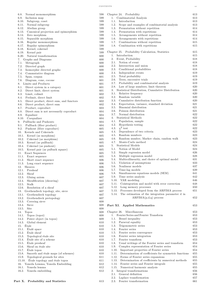$\begin{array}{lll} \text{CONTENTS} & \text{xy} & \text{xy} \\ \text{C} & \text{C} & \text{D} & \text{D} \\ \text{C} & \text{D} & \text{D} & \text{D} \\ \text{C} & \text{D} & \text{D} & \text{D} \\ \text{C} & \text{D} & \text{D} & \text{D} \\ \text{D} & \text{D} & \text{D} & \text{D} \\ \text{E} & \text{D} & \text{D} & \text{D} \\ \text{E} & \text{E} & \text{E} & \text{E} \\ \text{E} & \text{E} & \text{E} & \text{E} \\ \$ 

| 6.8.<br>Normal monomorphism                      | 598 |
|--------------------------------------------------|-----|
| 6.9.<br>Inclusion map                            | 599 |
| 6.10. Subgroup, coset                            | 599 |
| 6.11. Normal subgroup                            | 599 |
| 6.12.<br>Abelian group                           | 599 |
| 6.13.<br>Canonical projection and epimorphism    | 599 |
| 6.14.<br>Zero morphism                           | 599 |
| 6.15.<br>Separable morphism                      | 599 |
| 6.16.<br>Regular monomorphism                    | 599 |
| 6.17.<br>Regular epimorphism                     | 599 |
| 6.18.<br>Kernel, cokernel                        | 599 |
| 6.19.<br>Kernel pair                             | 599 |
| 6.20.<br>Natural transformation                  | 600 |
| 7.<br>Graphs and Diagrams                        | 600 |
| 7.1. Metagraph                                   | 600 |
| 7.2. Directed graph                              |     |
|                                                  | 600 |
| 7.3.<br>Isomorphic directed graphs               | 600 |
| 7.4. Commutative diagram                         | 600 |
| 7.5. Span, cospan                                | 601 |
| 7.6.<br>Diagram, cone, cocone                    | 601 |
| 8.<br>Limits and Products                        | 601 |
| 8.1.<br>Direct system in a category              | 601 |
| 8.2.<br>Direct limit, direct system              | 601 |
| 8.3. Limit, colimit                              | 602 |
| 8.4. Prelimit, direct limit                      | 602 |
| 8.5.<br>Direct product, direct sum, and functors | 602 |
| Direct product, direct sum<br>8.6.               | 602 |
| 8.7. Product, coproduct                          | 603 |
| 8.8.<br>Direct sum is not necessarily coproduct  | 604 |
| 8.9. Equalizer                                   | 604 |
| 8.10. Coequalizer                                | 604 |
| 9.<br>Pullbacks and Pushouts                     | 604 |
| 9.1. Pullback (fiber product)                    | 604 |
| 9.2.<br>Pushout (fiber coproduct)                | 605 |
| 10. Kernels and Cokernels                        | 605 |
| 10.1. Kernel (as morphism)                       | 605 |
| 10.2. Cokernel (as morphism)                     | 605 |
| 10.3. Kernel (as pullback)                       | 605 |
| 10.4. Cokernel (as pushout)                      | 605 |
| 10.5.<br>Kernel pair (as pulback square)         | 605 |
| 11. Exact Sequences                              | 605 |
| 11.1. Exact sequence                             | 605 |
| 11.2. Short exact sequence                       | 606 |
| 11.3. Long exact sequence                        | 606 |
| 12.<br><b>Sheaves</b>                            | 606 |
| Presheaf                                         |     |
| 12.1.                                            | 606 |
| 12.2.<br>Sheaf                                   | 606 |
| 12.3.<br>Gluing axiom                            | 607 |
| 12.4.<br>Sheafification (sheaving)               | 607 |
| 12.5.<br>Stalk                                   | 607 |
| 12.6.<br>Resolution of a sheaf                   | 607 |
| 13.<br>Grothendieck topology, site, sieve        | 607 |
| 13.1.<br>Grothendieck topology                   | 607 |
| 13.2.<br>Grothendieck pretopology                | 607 |
| 13.3.<br>Covering sieve                          | 608 |
| 13.4.<br>Sieve                                   | 608 |
| 13.5.<br>Site                                    | 608 |
| 14.<br>Topos                                     | 608 |
| 14.1.<br>Topos (topoi)                           | 608 |
| 14.2.<br>Power object (in topos)                 | 609 |
| 14.3.<br>Global element                          | 610 |
| 15. Étale                                        | 610 |
| Étalé space<br>15.1.                             | 610 |
| <b>Étale</b> sheaf<br>15.2.                      | 610 |
| 15.3.<br>Topological étale site                  | 610 |
| 15.4.<br>Etale site of a scheme                  | 610 |
| 15.5.<br>Étale presheaf                          | 610 |
| 15.6.<br>Sheaf on étale site                     | 610 |
|                                                  |     |
| Etale topos<br>15.7.                             | 610 |
| 15.8.<br>Smooth and étale maps (of schemes)      | 610 |
| 15.9.<br>Topological grounds for sites           | 611 |
| 15.10. Etale topology and étale topos            | 611 |
| 16.<br>Yoneda Lemma, Yoneda Embedding            | 612 |
| 16.1.<br>Yoneda lemma                            | 612 |
|                                                  |     |
| 16.2.<br>Yoneda embedding                        | 612 |

| Chapter 24. Probability                                                                                 | 613        |
|---------------------------------------------------------------------------------------------------------|------------|
| Combinatorial Analysis<br>1.                                                                            | 613        |
| 1.1.<br>Introduction                                                                                    | 613        |
| 1.2.<br>Scope and examples of combinatorial analysis<br>1.3.                                            | 613        |
| Permutation without repetition<br>1.4.<br>Permutation with repetitions                                  | 614<br>614 |
| 1.5.<br>Arrangements without repetition                                                                 | 614        |
| 1.6.<br>Arrangements with repetitions                                                                   | 614        |
| 1.7.<br>Combinations without repetition                                                                 | 615        |
| 1.8.<br>Combination with repetitions                                                                    | 615        |
|                                                                                                         |            |
| Probability Calculation, Statistics<br>Chapter 25.<br>$\mathbf{1}$ .                                    | 615        |
| Introduction<br>2.<br>Event, Probability                                                                | 615<br>618 |
| 2.1. Notion of event                                                                                    | 618        |
| 2.2.<br>Intersection and union                                                                          | 618        |
| 2.3.<br>Conditional probabilities                                                                       | 618        |
| 2.4.<br>Independent events                                                                              | 619        |
| 2.5.<br>Total probability                                                                               | 619        |
| 2.6.<br>Trees, successive trials                                                                        | 619        |
| 2.7.<br>Probability and combinatorial analysis                                                          | 619        |
| 2.8.<br>Law of large numbers, limit theorem                                                             | 620        |
| Statistical Distribution, Cumulative Distribution<br>3.<br>3.1.                                         | 620        |
| Relative frequency<br>32<br>Random variable                                                             | 620<br>620 |
| 3.3.<br>Cumulative distribution function                                                                | 620        |
| 3.4.<br>Expectation, variance, standard deviation                                                       | 621        |
| 3.5.<br>Binomial distribution                                                                           | 621        |
| Poisson distribution<br>3.6.                                                                            | 621        |
| 3.7. Normal distribution                                                                                | 622        |
| Statistical Methods<br>4.                                                                               | 622        |
| 4.1. Population, sample                                                                                 | 622        |
| 4.2.<br>Hypothesis testing                                                                              | 622        |
| 4.3.<br>$\chi^2$ test                                                                                   | 622        |
| 4.4.<br>Dependence of two criteria                                                                      | 623        |
| 4.5.<br>Random numbers<br>4.6.                                                                          | 623<br>623 |
| Random number, Markov chain, random walk<br>4.7. Monte-Carlo method                                     | 624        |
| 5. Statistical Models                                                                                   | 624        |
|                                                                                                         |            |
| Notion of Model<br>5.1.                                                                                 | 624        |
| 5.2.<br>Simple regression model                                                                         | 626        |
| 5.3.<br>Multiple regression model                                                                       | 628        |
| 5.4.<br>Multicollinearity, and choice of optimal model                                                  | 631        |
| Violation of assumptions<br>5.5.                                                                        | 633        |
| 5.6.<br>Nonlinear models                                                                                | 637        |
| 5.7.<br>Time-lag models                                                                                 | 639        |
| 5.8.<br>Simultaneous equations models (SEM)                                                             | 641        |
| 5.9.<br>Time series analysis                                                                            | 642        |
| 5.10.<br>VAR modeling                                                                                   | 646        |
| 5.11. Cointegration and model with error correction                                                     | 648<br>650 |
| 5.12. Long memory processes<br>Processes developed from the ARFIMA process<br>5.13.                     | 651        |
| 5.14. The estimation of the integration parameter d in                                                  |            |
| $ARFIMA(p,d,q)$ process                                                                                 | 652        |
|                                                                                                         |            |
| Part XI. Applied Mathematics                                                                            | 653        |
|                                                                                                         |            |
| Miscellaneous<br>Chapter 26.                                                                            | 653        |
| Fourier Series and Fourier Transform<br>1.                                                              | 653        |
| 1.1.<br>Bessel inequality<br>1.2.                                                                       | 653<br>653 |
| Parseval equality<br>1.3.<br>Trigonometric series                                                       | 653        |
| 1.4.<br>Fourier series                                                                                  | 653        |
| 1.5.<br>Fourier series convergence                                                                      | 653        |
| Fourier series integration<br>1.6.                                                                      | 653        |
| 1.7.<br>Fourier transform                                                                               | 653        |
| 1.8.<br>Usual writings of the Fourier series and transform                                              | 654        |
| Complex representation of Fourier series<br>1.9.                                                        | 654        |
| 1.10. Important properties of Fourier series                                                            | 654        |
| 1.11. Determination of coefficients for symmetric functions                                             | 655<br>655 |
| 1.12. Forms of Fourier series expansions<br>1.13.<br>Determination of coefficients by numerical methods | 655        |
| 1.14.<br>Fourier series and Fourier integrals                                                           | 655        |
| 1.15.<br>Numerical harmonic analysis                                                                    | 655        |
| 2.<br>Integral transformations                                                                          | 656        |
| 2.1.<br>General definition                                                                              | 656        |
| 2.2.<br>Laplace transformation<br>2.3.<br>Fourier transformation                                        | 657<br>661 |